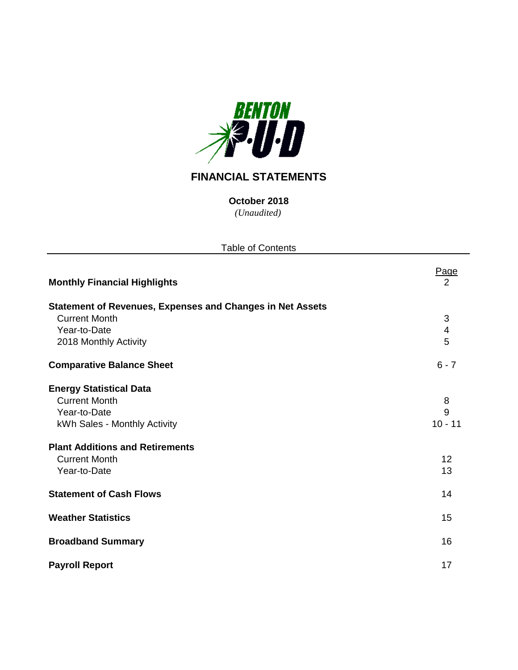

# **FINANCIAL STATEMENTS**

*(Unaudited)* **October 2018**

| <b>Table of Contents</b>                                         |                        |
|------------------------------------------------------------------|------------------------|
| <b>Monthly Financial Highlights</b>                              | Page<br>$\overline{2}$ |
| <b>Statement of Revenues, Expenses and Changes in Net Assets</b> |                        |
| <b>Current Month</b>                                             | 3                      |
| Year-to-Date                                                     | 4                      |
| 2018 Monthly Activity                                            | 5                      |
| <b>Comparative Balance Sheet</b>                                 | $6 - 7$                |
| <b>Energy Statistical Data</b>                                   |                        |
| <b>Current Month</b>                                             | 8                      |
| Year-to-Date                                                     | 9                      |
| kWh Sales - Monthly Activity                                     | $10 - 11$              |
| <b>Plant Additions and Retirements</b>                           |                        |
| <b>Current Month</b>                                             | 12                     |
| Year-to-Date                                                     | 13                     |
| <b>Statement of Cash Flows</b>                                   | 14                     |
| <b>Weather Statistics</b>                                        | 15                     |
| <b>Broadband Summary</b>                                         | 16                     |
| <b>Payroll Report</b>                                            | 17                     |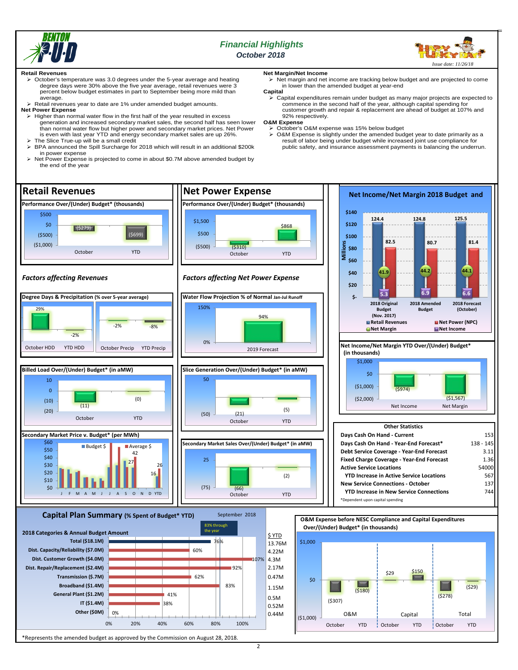

# *Financial Highlights October 2018*



#### **Retail Revenues**

- October's temperature was 3.0 degrees under the 5-year average and heating degree days were 30% above the five year average, retail revenues were 3 percent below budget estimates in part to September being more mild than average.
- > Retail revenues year to date are 1% under amended budget amounts.
- **Net Power Expense**
	- $\triangleright$  Higher than normal water flow in the first half of the year resulted in excess generation and increased secondary market sales, the second half has seen lower than normal water flow but higher power and secondary market prices. Net Power
- is even with last year YTD and energy secondary market sales are up 26%. The Slice True-up will be a small credit  $\triangleright$  BPA announced the Spill Surcharge for 2018 which will result in an additional \$200k in power expense
- Net Power Expense is projected to come in about \$0.7M above amended budget by the end of the year

**Net Margin/Net Income**

 $\triangleright$  Net margin and net income are tracking below budget and are projected to come in lower than the amended budget at year-end

**Capital** Capital expenditures remain under budget as many major projects are expected to commence in the second half of the year, although capital spending for customer growth and repair & replacement are ahead of budget at 107% and 92% respectively.

**O&M Expense**

- 
- October's O&M expense was 15% below budget O&M Expense is slightly under the amended budget year to date primarily as a result of labor being under budget while increased joint use compliance for public safety, and insurance assessment payments is balancing the underrun.

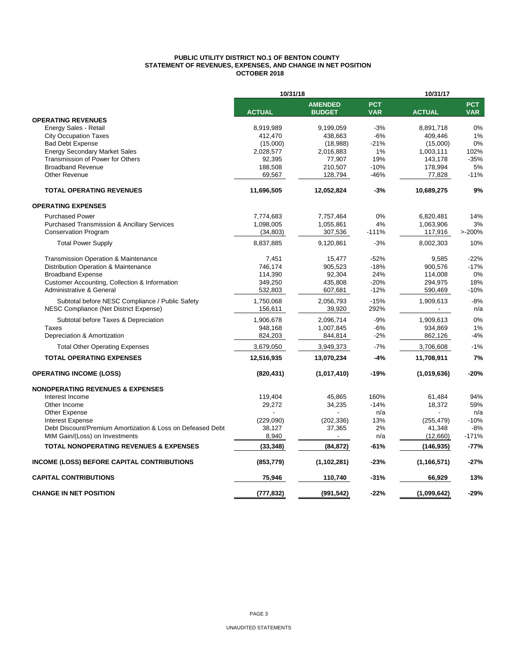#### **PUBLIC UTILITY DISTRICT NO.1 OF BENTON COUNTY STATEMENT OF REVENUES, EXPENSES, AND CHANGE IN NET POSITION OCTOBER 2018**

|                                                            | 10/31/18      |                                 | 10/31/17                 |               |                          |  |
|------------------------------------------------------------|---------------|---------------------------------|--------------------------|---------------|--------------------------|--|
|                                                            | <b>ACTUAL</b> | <b>AMENDED</b><br><b>BUDGET</b> | <b>PCT</b><br><b>VAR</b> | <b>ACTUAL</b> | <b>PCT</b><br><b>VAR</b> |  |
| <b>OPERATING REVENUES</b>                                  |               |                                 |                          |               |                          |  |
| Energy Sales - Retail                                      | 8,919,989     | 9,199,059                       | $-3%$                    | 8,891,718     | 0%                       |  |
| <b>City Occupation Taxes</b>                               | 412,470       | 438,663                         | $-6%$                    | 409,446       | 1%                       |  |
| <b>Bad Debt Expense</b>                                    | (15,000)      | (18,988)                        | -21%                     | (15,000)      | 0%                       |  |
| <b>Energy Secondary Market Sales</b>                       | 2,028,577     | 2,016,883                       | 1%                       | 1,003,111     | 102%                     |  |
| Transmission of Power for Others                           | 92.395        | 77,907                          | 19%                      | 143.178       | $-35%$                   |  |
| <b>Broadband Revenue</b>                                   | 188,508       | 210,507                         | $-10%$                   | 178,994       | 5%                       |  |
| Other Revenue                                              | 69,567        | 128,794                         | -46%                     | 77,828        | $-11%$                   |  |
| <b>TOTAL OPERATING REVENUES</b>                            | 11,696,505    | 12,052,824                      | $-3%$                    | 10,689,275    | 9%                       |  |
| <b>OPERATING EXPENSES</b>                                  |               |                                 |                          |               |                          |  |
| <b>Purchased Power</b>                                     | 7,774,683     | 7,757,464                       | 0%                       | 6,820,481     | 14%                      |  |
| <b>Purchased Transmission &amp; Ancillary Services</b>     | 1,098,005     | 1,055,861                       | 4%                       | 1,063,906     | 3%                       |  |
| <b>Conservation Program</b>                                | (34, 803)     | 307,536                         | $-111%$                  | 117,916       | >200%                    |  |
| <b>Total Power Supply</b>                                  | 8,837,885     | 9,120,861                       | $-3%$                    | 8,002,303     | 10%                      |  |
| <b>Transmission Operation &amp; Maintenance</b>            | 7,451         | 15,477                          | $-52%$                   | 9,585         | $-22%$                   |  |
| Distribution Operation & Maintenance                       | 746,174       | 905,523                         | $-18%$                   | 900,576       | $-17%$                   |  |
| <b>Broadband Expense</b>                                   | 114,390       | 92,304                          | 24%                      | 114,008       | 0%                       |  |
| Customer Accounting, Collection & Information              | 349,250       | 435,808                         | $-20%$                   | 294,975       | 18%                      |  |
| Administrative & General                                   | 532,803       | 607,681                         | $-12%$                   | 590,469       | $-10%$                   |  |
| Subtotal before NESC Compliance / Public Safety            | 1,750,068     | 2,056,793                       | $-15%$                   | 1,909,613     | $-8%$                    |  |
| NESC Compliance (Net District Expense)                     | 156,611       | 39,920                          | 292%                     |               | n/a                      |  |
| Subtotal before Taxes & Depreciation                       | 1,906,678     | 2,096,714                       | $-9%$                    | 1,909,613     | 0%                       |  |
| Taxes                                                      | 948,168       | 1,007,845                       | $-6%$                    | 934,869       | 1%                       |  |
| Depreciation & Amortization                                | 824,203       | 844,814                         | $-2%$                    | 862,126       | -4%                      |  |
| <b>Total Other Operating Expenses</b>                      | 3,679,050     | 3,949,373                       | $-7%$                    | 3,706,608     | $-1%$                    |  |
| <b>TOTAL OPERATING EXPENSES</b>                            | 12,516,935    | 13,070,234                      | -4%                      | 11,708,911    | 7%                       |  |
| <b>OPERATING INCOME (LOSS)</b>                             | (820, 431)    | (1,017,410)                     | $-19%$                   | (1,019,636)   | $-20%$                   |  |
| <b>NONOPERATING REVENUES &amp; EXPENSES</b>                |               |                                 |                          |               |                          |  |
| Interest Income                                            | 119,404       | 45,865                          | 160%                     | 61,484        | 94%                      |  |
| Other Income                                               | 29,272        | 34,235                          | $-14%$                   | 18,372        | 59%                      |  |
| Other Expense                                              |               |                                 | n/a                      |               | n/a                      |  |
| <b>Interest Expense</b>                                    | (229,090)     | (202, 336)                      | 13%                      | (255, 479)    | $-10%$                   |  |
| Debt Discount/Premium Amortization & Loss on Defeased Debt | 38,127        | 37,365                          | 2%                       | 41,348        | $-8%$                    |  |
| MtM Gain/(Loss) on Investments                             | 8,940         |                                 | n/a                      | (12,660)      | $-171%$                  |  |
| <b>TOTAL NONOPERATING REVENUES &amp; EXPENSES</b>          | (33, 348)     | (84, 872)                       | -61%                     | (146, 935)    | $-77%$                   |  |
| <b>INCOME (LOSS) BEFORE CAPITAL CONTRIBUTIONS</b>          | (853, 779)    | (1, 102, 281)                   | $-23%$                   | (1, 166, 571) | $-27%$                   |  |
| <b>CAPITAL CONTRIBUTIONS</b>                               | 75,946        | 110,740                         | -31%                     | 66,929        | 13%                      |  |
| <b>CHANGE IN NET POSITION</b>                              | (777,832)     | (991, 542)                      | $-22%$                   | (1,099,642)   | $-29%$                   |  |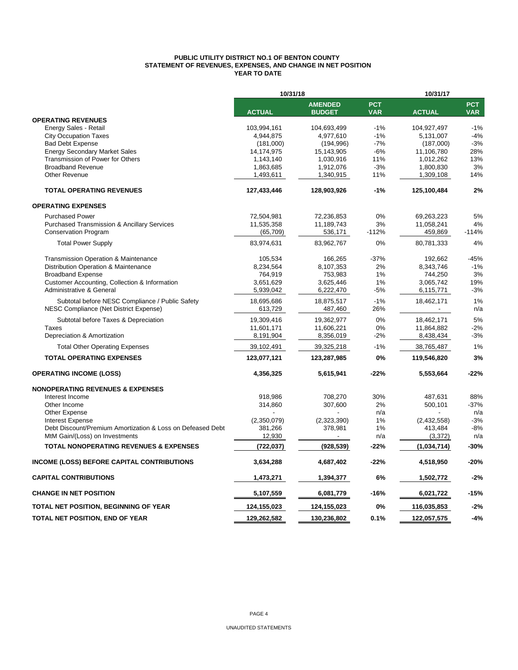#### **PUBLIC UTILITY DISTRICT NO.1 OF BENTON COUNTY STATEMENT OF REVENUES, EXPENSES, AND CHANGE IN NET POSITION YEAR TO DATE**

|                                                            | 10/31/18      |                          |            | 10/31/17      |            |  |
|------------------------------------------------------------|---------------|--------------------------|------------|---------------|------------|--|
|                                                            |               | <b>AMENDED</b>           | <b>PCT</b> |               | <b>PCT</b> |  |
|                                                            | <b>ACTUAL</b> | <b>BUDGET</b>            | <b>VAR</b> | <b>ACTUAL</b> | <b>VAR</b> |  |
| <b>OPERATING REVENUES</b>                                  |               |                          |            |               |            |  |
| Energy Sales - Retail                                      | 103,994,161   | 104,693,499              | $-1%$      | 104,927,497   | $-1%$      |  |
| <b>City Occupation Taxes</b>                               | 4,944,875     | 4,977,610                | $-1%$      | 5,131,007     | $-4%$      |  |
| <b>Bad Debt Expense</b>                                    | (181,000)     | (194, 996)               | $-7%$      | (187,000)     | $-3%$      |  |
| <b>Energy Secondary Market Sales</b>                       | 14,174,975    | 15,143,905               | $-6%$      | 11,106,780    | 28%        |  |
| Transmission of Power for Others                           | 1,143,140     | 1,030,916                | 11%        | 1,012,262     | 13%        |  |
| <b>Broadband Revenue</b>                                   | 1,863,685     | 1,912,076                | $-3%$      | 1,800,830     | 3%         |  |
| Other Revenue                                              | 1,493,611     | 1,340,915                | 11%        | 1,309,108     | 14%        |  |
| <b>TOTAL OPERATING REVENUES</b>                            | 127,433,446   | 128,903,926              | $-1%$      | 125,100,484   | 2%         |  |
| <b>OPERATING EXPENSES</b>                                  |               |                          |            |               |            |  |
| <b>Purchased Power</b>                                     | 72,504,981    | 72,236,853               | 0%         | 69,263,223    | 5%         |  |
| <b>Purchased Transmission &amp; Ancillary Services</b>     | 11,535,358    | 11,189,743               | 3%         | 11,058,241    | 4%         |  |
| <b>Conservation Program</b>                                | (65, 709)     | 536,171                  | $-112%$    | 459,869       | $-114%$    |  |
| <b>Total Power Supply</b>                                  | 83,974,631    | 83,962,767               | 0%         | 80,781,333    | 4%         |  |
| Transmission Operation & Maintenance                       | 105,534       | 166,265                  | $-37%$     | 192,662       | $-45%$     |  |
| Distribution Operation & Maintenance                       | 8,234,564     | 8,107,353                | 2%         | 8,343,746     | $-1%$      |  |
| <b>Broadband Expense</b>                                   | 764,919       | 753,983                  | 1%         | 744,250       | 3%         |  |
| Customer Accounting, Collection & Information              | 3,651,629     | 3,625,446                | 1%         | 3,065,742     | 19%        |  |
| Administrative & General                                   | 5,939,042     | 6,222,470                | $-5%$      | 6,115,771     | $-3%$      |  |
|                                                            |               |                          |            |               |            |  |
| Subtotal before NESC Compliance / Public Safety            | 18,695,686    | 18,875,517               | $-1%$      | 18,462,171    | 1%         |  |
| NESC Compliance (Net District Expense)                     | 613,729       | 487,460                  | 26%        |               | n/a        |  |
| Subtotal before Taxes & Depreciation                       | 19,309,416    | 19,362,977               | 0%         | 18,462,171    | 5%         |  |
| Taxes                                                      | 11,601,171    | 11,606,221               | 0%         | 11,864,882    | $-2%$      |  |
| Depreciation & Amortization                                | 8,191,904     | 8,356,019                | $-2%$      | 8,438,434     | $-3%$      |  |
| <b>Total Other Operating Expenses</b>                      | 39,102,491    | 39,325,218               | $-1%$      | 38,765,487    | 1%         |  |
| <b>TOTAL OPERATING EXPENSES</b>                            | 123,077,121   | 123,287,985              | 0%         | 119,546,820   | 3%         |  |
| <b>OPERATING INCOME (LOSS)</b>                             | 4,356,325     | 5,615,941                | $-22%$     | 5,553,664     | $-22%$     |  |
| <b>NONOPERATING REVENUES &amp; EXPENSES</b>                |               |                          |            |               |            |  |
| Interest Income                                            | 918,986       | 708,270                  | 30%        | 487,631       | 88%        |  |
| Other Income                                               | 314,860       | 307,600                  | 2%         | 500,101       | $-37%$     |  |
| Other Expense                                              |               |                          | n/a        |               | n/a        |  |
| <b>Interest Expense</b>                                    | (2,350,079)   | (2,323,390)              | 1%         | (2,432,558)   | $-3%$      |  |
| Debt Discount/Premium Amortization & Loss on Defeased Debt | 381,266       | 378,981                  | 1%         | 413,484       | $-8%$      |  |
| MtM Gain/(Loss) on Investments                             | 12,930        | $\overline{\phantom{a}}$ | n/a        | (3,372)       | n/a        |  |
| <b>TOTAL NONOPERATING REVENUES &amp; EXPENSES</b>          | (722, 037)    | (928, 539)               | -22%       | (1,034,714)   | $-30%$     |  |
| <b>INCOME (LOSS) BEFORE CAPITAL CONTRIBUTIONS</b>          | 3,634,288     | 4,687,402                | -22%       | 4,518,950     | $-20%$     |  |
| <b>CAPITAL CONTRIBUTIONS</b>                               | 1,473,271     | 1,394,377                | 6%         | 1,502,772     | $-2%$      |  |
| <b>CHANGE IN NET POSITION</b>                              | 5,107,559     | 6,081,779                | -16%       | 6,021,722     | $-15%$     |  |
| TOTAL NET POSITION, BEGINNING OF YEAR                      | 124,155,023   | 124,155,023              | 0%         | 116,035,853   | $-2%$      |  |
| TOTAL NET POSITION, END OF YEAR                            | 129,262,582   | 130,236,802              | 0.1%       | 122,057,575   | $-4%$      |  |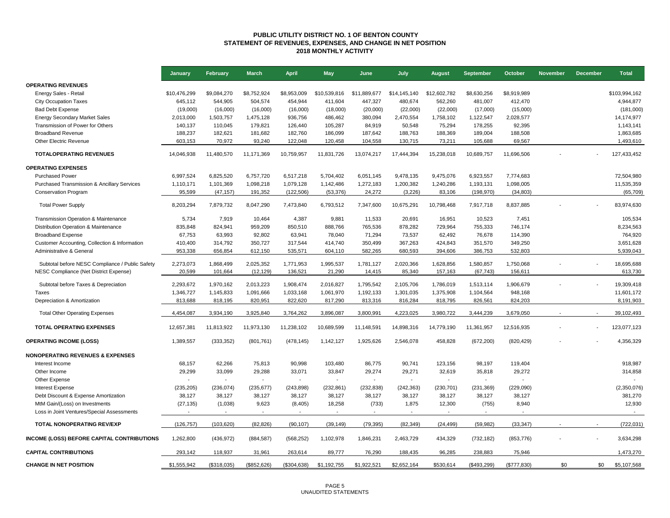#### **PUBLIC UTILITY DISTRICT NO. 1 OF BENTON COUNTY STATEMENT OF REVENUES, EXPENSES, AND CHANGE IN NET POSITION 2018 MONTHLY ACTIVITY**

|                                                                                           | January             | February             | <b>March</b>           | <b>April</b>         | <b>May</b>          | June                     | July                | <b>August</b>        | September              | October              | <b>November</b> | <b>December</b> | <b>Total</b>          |
|-------------------------------------------------------------------------------------------|---------------------|----------------------|------------------------|----------------------|---------------------|--------------------------|---------------------|----------------------|------------------------|----------------------|-----------------|-----------------|-----------------------|
| <b>OPERATING REVENUES</b>                                                                 |                     |                      |                        |                      |                     |                          |                     |                      |                        |                      |                 |                 |                       |
| Energy Sales - Retail                                                                     | \$10,476,299        | \$9,084,270          | \$8,752,924            | \$8,953,009          | \$10,539,816        | \$11,889,677             | \$14,145,140        | \$12,602,782         | \$8,630,256            | \$8,919,989          |                 |                 | \$103,994,162         |
| <b>City Occupation Taxes</b>                                                              | 645,112             | 544,905              | 504,574                | 454,944              | 411,604             | 447,327                  | 480,674             | 562,260              | 481,007                | 412,470              |                 |                 | 4,944,877             |
| <b>Bad Debt Expense</b>                                                                   | (19,000)            | (16,000)             | (16,000)               | (16,000)             | (18,000)            | (20,000)                 | (22,000)            | (22,000)             | (17,000)               | (15,000)             |                 |                 | (181,000)             |
| <b>Energy Secondary Market Sales</b>                                                      | 2,013,000           | 1,503,757            | 1,475,128              | 936,756              | 486,462             | 380,094                  | 2,470,554           | 1,758,102            | 1,122,547              | 2,028,577            |                 |                 | 14,174,977            |
| Transmission of Power for Others                                                          | 140,137             | 110,045              | 179,821                | 126,440              | 105,287             | 84,919                   | 50,548              | 75,294               | 178,255                | 92,395               |                 |                 | 1,143,141             |
| <b>Broadband Revenue</b>                                                                  | 188,237             | 182,621              | 181,682                | 182,760              | 186,099             | 187,642                  | 188,763             | 188,369              | 189,004                | 188,508              |                 |                 | 1,863,685             |
| Other Electric Revenue                                                                    | 603,153             | 70,972               | 93,240                 | 122,048              | 120,458             | 104,558                  | 130,715             | 73,211               | 105,688                | 69,567               |                 |                 | 1,493,610             |
| <b>TOTALOPERATING REVENUES</b>                                                            | 14,046,938          | 11,480,570           | 11,171,369             | 10,759,957           | 11,831,726          | 13,074,217               | 17,444,394          | 15,238,018           | 10,689,757             | 11,696,506           |                 |                 | 127,433,452           |
| <b>OPERATING EXPENSES</b>                                                                 |                     |                      |                        |                      |                     |                          |                     |                      |                        |                      |                 |                 |                       |
| <b>Purchased Power</b>                                                                    | 6,997,524           | 6,825,520            | 6,757,720              | 6,517,218            | 5,704,402           | 6,051,145                | 9,478,135           | 9,475,076            | 6,923,557              | 7,774,683            |                 |                 | 72,504,980            |
| <b>Purchased Transmission &amp; Ancillary Services</b>                                    | 1,110,171           | 1,101,369            | 1,098,218              | 1,079,128            | 1,142,486           | 1,272,183                | 1,200,382           | 1,240,286            | 1,193,131              | 1,098,005            |                 |                 | 11,535,359            |
| <b>Conservation Program</b>                                                               | 95,599              | (47, 157)            | 191,352                | (122, 506)           | (53, 376)           | 24,272                   | (3,226)             | 83,106               | (198, 970)             | (34, 803)            |                 |                 | (65, 709)             |
| <b>Total Power Supply</b>                                                                 | 8,203,294           | 7,879,732            | 8,047,290              | 7,473,840            | 6,793,512           | 7,347,600                | 10,675,291          | 10,798,468           | 7,917,718              | 8,837,885            |                 |                 | 83,974,630            |
| Transmission Operation & Maintenance                                                      | 5,734               | 7,919                | 10,464                 | 4,387                | 9,881               | 11,533                   | 20,691              | 16,951               | 10,523                 | 7,451                |                 |                 | 105,534               |
| Distribution Operation & Maintenance                                                      | 835.848             | 824,941              | 959.209                | 850.510              | 888.766             | 765,536                  | 878,282             | 729.964              | 755.333                | 746.174              |                 |                 | 8,234,563             |
| <b>Broadband Expense</b>                                                                  | 67,753              | 63,993               | 92,802                 | 63,941               | 78,040              | 71,294                   | 73,537              | 62,492               | 76,678                 | 114,390              |                 |                 | 764,920               |
| Customer Accounting, Collection & Information                                             | 410,400             | 314,792              | 350,727                | 317,544              | 414,740             | 350,499                  | 367,263             | 424,843              | 351,570                | 349,250              |                 |                 | 3,651,628             |
| Administrative & General                                                                  | 953,338             | 656,854              | 612,150                | 535,571              | 604,110             | 582,265                  | 680,593             | 394,606              | 386,753                | 532,803              |                 |                 | 5,939,043             |
|                                                                                           |                     |                      |                        |                      |                     |                          |                     |                      |                        |                      |                 |                 |                       |
| Subtotal before NESC Compliance / Public Safety<br>NESC Compliance (Net District Expense) | 2,273,073<br>20,599 | 1,868,499<br>101,664 | 2,025,352<br>(12, 129) | 1,771,953<br>136,521 | 1,995,537<br>21,290 | 1,781,127<br>14,415      | 2,020,366<br>85,340 | 1,628,856<br>157,163 | 1,580,857<br>(67, 743) | 1,750,068<br>156,611 |                 |                 | 18,695,688<br>613,730 |
|                                                                                           |                     |                      |                        |                      |                     |                          |                     |                      |                        |                      |                 |                 |                       |
| Subtotal before Taxes & Depreciation                                                      | 2,293,672           | 1,970,162            | 2,013,223              | 1,908,474            | 2,016,827           | 1,795,542                | 2,105,706           | 1,786,019            | 1,513,114              | 1,906,679            |                 |                 | 19,309,418            |
| Taxes                                                                                     | 1,346,727           | 1,145,833            | 1,091,666              | 1,033,168            | 1,061,970           | 1,192,133                | 1,301,035           | 1,375,908            | 1,104,564              | 948,168              |                 |                 | 11,601,172            |
| Depreciation & Amortization                                                               | 813,688             | 818,195              | 820,951                | 822,620              | 817,290             | 813,316                  | 816,284             | 818,795              | 826,561                | 824,203              |                 |                 | 8,191,903             |
| <b>Total Other Operating Expenses</b>                                                     | 4,454,087           | 3,934,190            | 3,925,840              | 3,764,262            | 3,896,087           | 3,800,991                | 4,223,025           | 3,980,722            | 3,444,239              | 3,679,050            |                 |                 | 39,102,493            |
| <b>TOTAL OPERATING EXPENSES</b>                                                           | 12,657,381          | 11,813,922           | 11,973,130             | 11,238,102           | 10,689,599          | 11,148,591               | 14,898,316          | 14,779,190           | 11,361,957             | 12,516,935           |                 |                 | 123.077.123           |
| <b>OPERATING INCOME (LOSS)</b>                                                            | 1,389,557           | (333, 352)           | (801, 761)             | (478, 145)           | 1,142,127           | 1,925,626                | 2,546,078           | 458,828              | (672, 200)             | (820, 429)           |                 |                 | 4,356,329             |
| <b>NONOPERATING REVENUES &amp; EXPENSES</b>                                               |                     |                      |                        |                      |                     |                          |                     |                      |                        |                      |                 |                 |                       |
| Interest Income                                                                           | 68.157              | 62.266               | 75,813                 | 90.998               | 103.480             | 86.775                   | 90.741              | 123.156              | 98.197                 | 119.404              |                 |                 | 918,987               |
| Other Income                                                                              | 29,299              | 33,099               | 29,288                 | 33,071               | 33,847              | 29,274                   | 29,271              | 32,619               | 35,818                 | 29,272               |                 |                 | 314,858               |
| Other Expense                                                                             |                     |                      |                        | $\mathbf{r}$         |                     | $\overline{\phantom{a}}$ |                     |                      |                        |                      |                 |                 |                       |
| <b>Interest Expense</b>                                                                   | (235, 205)          | (236, 074)           | (235, 677)             | (243, 898)           | (232, 861)          | (232, 838)               | (242, 363)          | (230, 701)           | (231, 369)             | (229,090)            |                 |                 | (2,350,076)           |
| Debt Discount & Expense Amortization                                                      | 38,127              | 38,127               | 38,127                 | 38,127               | 38,127              | 38,127                   | 38,127              | 38,127               | 38,127                 | 38,127               |                 |                 | 381,270               |
| MtM Gain/(Loss) on Investments                                                            | (27, 135)           | (1,038)              | 9,623                  | (8,405)              | 18,258              | (733)                    | 1,875               | 12,300               | (755)                  | 8,940                |                 |                 | 12,930                |
| Loss in Joint Ventures/Special Assessments                                                |                     |                      |                        |                      |                     |                          |                     |                      |                        |                      |                 |                 | $\sim$                |
| <b>TOTAL NONOPERATING REV/EXP</b>                                                         | (126, 757)          | (103, 620)           | (82, 826)              | (90, 107)            | (39, 149)           | (79, 395)                | (82, 349)           | (24, 499)            | (59, 982)              | (33, 347)            |                 |                 | (722, 031)            |
| <b>INCOME (LOSS) BEFORE CAPITAL CONTRIBUTIONS</b>                                         | 1,262,800           | (436, 972)           | (884, 587)             | (568, 252)           | 1,102,978           | 1,846,231                | 2,463,729           | 434,329              | (732, 182)             | (853, 776)           |                 |                 | 3,634,298             |
| <b>CAPITAL CONTRIBUTIONS</b>                                                              | 293.142             | 118,937              | 31,961                 | 263,614              | 89.777              | 76.290                   | 188,435             | 96,285               | 238,883                | 75,946               |                 |                 | 1,473,270             |
| <b>CHANGE IN NET POSITION</b>                                                             | \$1,555,942         | (\$318,035)          | (\$852,626)            | (\$304,638)          | \$1,192,755         | \$1,922,521              | \$2,652,164         | \$530,614            | (\$493,299)            | (\$777,830)          | \$0             | \$0             | \$5,107,568           |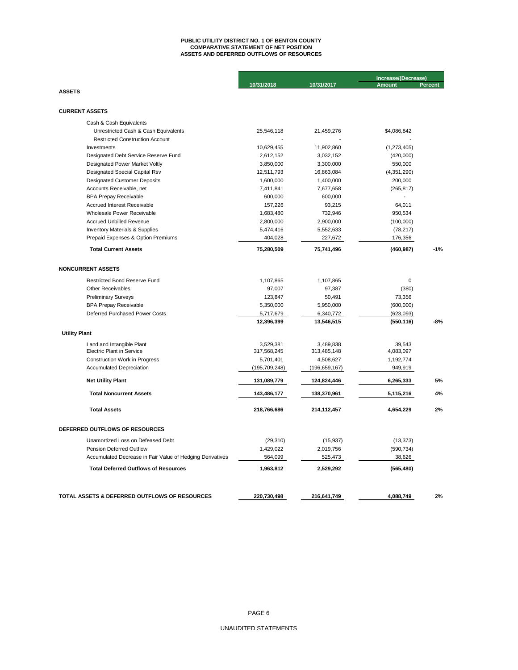# **ASSETS AND DEFERRED OUTFLOWS OF RESOURCES PUBLIC UTILITY DISTRICT NO. 1 OF BENTON COUNTY COMPARATIVE STATEMENT OF NET POSITION**

|                                                                              |                        |                        | Increase/(Decrease)    |                |  |
|------------------------------------------------------------------------------|------------------------|------------------------|------------------------|----------------|--|
|                                                                              | 10/31/2018             | 10/31/2017             | <b>Amount</b>          | <b>Percent</b> |  |
| <b>ASSETS</b>                                                                |                        |                        |                        |                |  |
|                                                                              |                        |                        |                        |                |  |
| <b>CURRENT ASSETS</b>                                                        |                        |                        |                        |                |  |
| Cash & Cash Equivalents                                                      |                        |                        |                        |                |  |
| Unrestricted Cash & Cash Equivalents                                         | 25,546,118             | 21,459,276             | \$4,086,842            |                |  |
| <b>Restricted Construction Account</b>                                       |                        |                        |                        |                |  |
| Investments                                                                  | 10,629,455             | 11,902,860             | (1,273,405)            |                |  |
| Designated Debt Service Reserve Fund                                         | 2,612,152              | 3,032,152              | (420,000)              |                |  |
| Designated Power Market Voltly                                               | 3,850,000              | 3,300,000              | 550,000                |                |  |
| Designated Special Capital Rsv                                               | 12,511,793             | 16,863,084             | (4,351,290)            |                |  |
| <b>Designated Customer Deposits</b>                                          | 1,600,000              | 1,400,000              | 200,000                |                |  |
| Accounts Receivable, net                                                     | 7,411,841              | 7,677,658              | (265, 817)             |                |  |
| <b>BPA Prepay Receivable</b>                                                 | 600,000                | 600,000                |                        |                |  |
| Accrued Interest Receivable                                                  | 157,226                | 93,215                 | 64,011                 |                |  |
| Wholesale Power Receivable                                                   | 1,683,480              | 732,946                | 950,534                |                |  |
| <b>Accrued Unbilled Revenue</b><br><b>Inventory Materials &amp; Supplies</b> | 2,800,000<br>5,474,416 | 2,900,000<br>5,552,633 | (100,000)<br>(78, 217) |                |  |
| Prepaid Expenses & Option Premiums                                           | 404,028                | 227,672                | 176,356                |                |  |
|                                                                              |                        |                        |                        |                |  |
| <b>Total Current Assets</b>                                                  | 75,280,509             | 75,741,496             | (460, 987)             | $-1%$          |  |
| <b>NONCURRENT ASSETS</b>                                                     |                        |                        |                        |                |  |
| <b>Restricted Bond Reserve Fund</b>                                          | 1,107,865              | 1,107,865              | 0                      |                |  |
| <b>Other Receivables</b>                                                     | 97,007                 | 97,387                 | (380)                  |                |  |
| <b>Preliminary Surveys</b>                                                   | 123,847                | 50,491                 | 73,356                 |                |  |
| <b>BPA Prepay Receivable</b>                                                 | 5,350,000              | 5,950,000              | (600,000)              |                |  |
| Deferred Purchased Power Costs                                               | 5,717,679              | 6,340,772              | (623,093)              |                |  |
|                                                                              | 12,396,399             | 13,546,515             | (550, 116)             | -8%            |  |
| <b>Utility Plant</b>                                                         |                        |                        |                        |                |  |
| Land and Intangible Plant                                                    | 3,529,381              | 3,489,838              | 39.543                 |                |  |
| <b>Electric Plant in Service</b>                                             | 317,568,245            | 313,485,148            | 4,083,097              |                |  |
| <b>Construction Work in Progress</b>                                         | 5,701,401              | 4,508,627              | 1,192,774              |                |  |
| <b>Accumulated Depreciation</b>                                              | (195, 709, 248)        | (196, 659, 167)        | 949,919                |                |  |
| <b>Net Utility Plant</b>                                                     | 131,089,779            | 124,824,446            | 6,265,333              | 5%             |  |
| <b>Total Noncurrent Assets</b>                                               | 143,486,177            | 138,370,961            | 5,115,216              | 4%             |  |
| <b>Total Assets</b>                                                          | 218,766,686            | 214,112,457            | 4,654,229              | 2%             |  |
| DEFERRED OUTFLOWS OF RESOURCES                                               |                        |                        |                        |                |  |
| Unamortized Loss on Defeased Debt                                            | (29, 310)              | (15, 937)              | (13, 373)              |                |  |
| <b>Pension Deferred Outflow</b>                                              | 1,429,022              | 2,019,756              | (590, 734)             |                |  |
| Accumulated Decrease in Fair Value of Hedging Derivatives                    | 564,099                | 525,473                | 38,626                 |                |  |
|                                                                              |                        |                        |                        |                |  |
| <b>Total Deferred Outflows of Resources</b>                                  | 1,963,812              | 2,529,292              | (565, 480)             |                |  |
|                                                                              |                        |                        |                        |                |  |
| TOTAL ASSETS & DEFERRED OUTFLOWS OF RESOURCES                                | 220,730,498            | 216,641,749            | 4,088,749              | 2%             |  |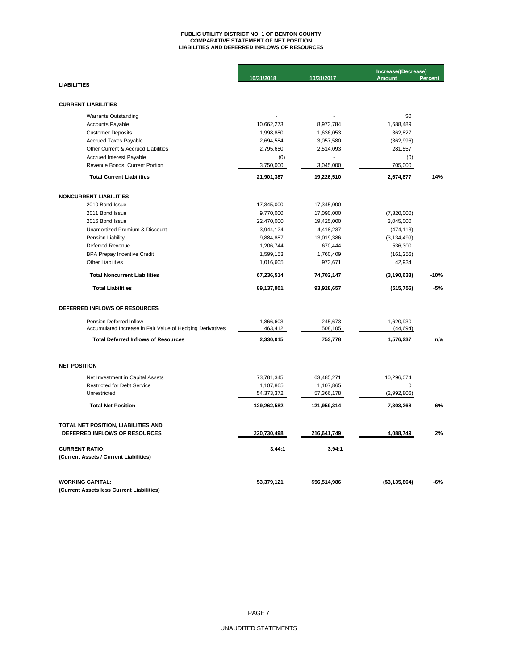# **PUBLIC UTILITY DISTRICT NO. 1 OF BENTON COUNTY COMPARATIVE STATEMENT OF NET POSITION LIABILITIES AND DEFERRED INFLOWS OF RESOURCES**

|                                                           |             |              | Increase/(Decrease) |         |  |  |
|-----------------------------------------------------------|-------------|--------------|---------------------|---------|--|--|
|                                                           | 10/31/2018  | 10/31/2017   | <b>Amount</b>       | Percent |  |  |
| <b>LIABILITIES</b>                                        |             |              |                     |         |  |  |
|                                                           |             |              |                     |         |  |  |
| <b>CURRENT LIABILITIES</b>                                |             |              |                     |         |  |  |
| <b>Warrants Outstanding</b>                               |             |              | \$0                 |         |  |  |
| Accounts Payable                                          | 10,662,273  | 8,973,784    | 1,688,489           |         |  |  |
| <b>Customer Deposits</b>                                  | 1,998,880   | 1,636,053    | 362,827             |         |  |  |
| <b>Accrued Taxes Payable</b>                              | 2,694,584   | 3,057,580    | (362, 996)          |         |  |  |
| Other Current & Accrued Liabilities                       | 2,795,650   | 2,514,093    | 281,557             |         |  |  |
| Accrued Interest Payable                                  | (0)         |              | (0)                 |         |  |  |
| Revenue Bonds, Current Portion                            | 3,750,000   | 3,045,000    | 705,000             |         |  |  |
| <b>Total Current Liabilities</b>                          | 21,901,387  | 19,226,510   | 2,674,877           | 14%     |  |  |
| <b>NONCURRENT LIABILITIES</b>                             |             |              |                     |         |  |  |
| 2010 Bond Issue                                           | 17,345,000  | 17,345,000   |                     |         |  |  |
| 2011 Bond Issue                                           | 9,770,000   | 17,090,000   | (7,320,000)         |         |  |  |
| 2016 Bond Issue                                           | 22,470,000  | 19,425,000   | 3,045,000           |         |  |  |
| Unamortized Premium & Discount                            | 3,944,124   | 4,418,237    | (474, 113)          |         |  |  |
| Pension Liability                                         | 9,884,887   | 13,019,386   | (3, 134, 499)       |         |  |  |
| Deferred Revenue                                          | 1,206,744   | 670,444      | 536,300             |         |  |  |
| <b>BPA Prepay Incentive Credit</b>                        | 1,599,153   | 1,760,409    | (161, 256)          |         |  |  |
| <b>Other Liabilities</b>                                  | 1,016,605   | 973,671      | 42,934              |         |  |  |
| <b>Total Noncurrent Liabilities</b>                       | 67,236,514  | 74,702,147   | (3, 190, 633)       | $-10%$  |  |  |
| <b>Total Liabilities</b>                                  | 89,137,901  | 93,928,657   | (515, 756)          | $-5%$   |  |  |
| DEFERRED INFLOWS OF RESOURCES                             |             |              |                     |         |  |  |
| Pension Deferred Inflow                                   | 1,866,603   | 245,673      | 1,620,930           |         |  |  |
| Accumulated Increase in Fair Value of Hedging Derivatives | 463,412     | 508,105      | (44, 694)           |         |  |  |
| <b>Total Deferred Inflows of Resources</b>                | 2,330,015   | 753,778      | 1,576,237           | n/a     |  |  |
| <b>NET POSITION</b>                                       |             |              |                     |         |  |  |
| Net Investment in Capital Assets                          | 73,781,345  | 63,485,271   | 10,296,074          |         |  |  |
| <b>Restricted for Debt Service</b>                        | 1,107,865   | 1,107,865    | $\mathbf 0$         |         |  |  |
| Unrestricted                                              | 54,373,372  | 57,366,178   | (2,992,806)         |         |  |  |
| <b>Total Net Position</b>                                 | 129,262,582 | 121,959,314  | 7,303,268           | 6%      |  |  |
|                                                           |             |              |                     |         |  |  |
| TOTAL NET POSITION, LIABILITIES AND                       |             |              |                     |         |  |  |
| DEFERRED INFLOWS OF RESOURCES                             | 220,730,498 | 216,641,749  | 4,088,749           | 2%      |  |  |
| <b>CURRENT RATIO:</b>                                     | 3.44:1      | 3.94:1       |                     |         |  |  |
| (Current Assets / Current Liabilities)                    |             |              |                     |         |  |  |
| <b>WORKING CAPITAL:</b>                                   | 53,379,121  | \$56,514,986 | (\$3,135,864)       | -6%     |  |  |
| (Current Assets less Current Liabilities)                 |             |              |                     |         |  |  |
|                                                           |             |              |                     |         |  |  |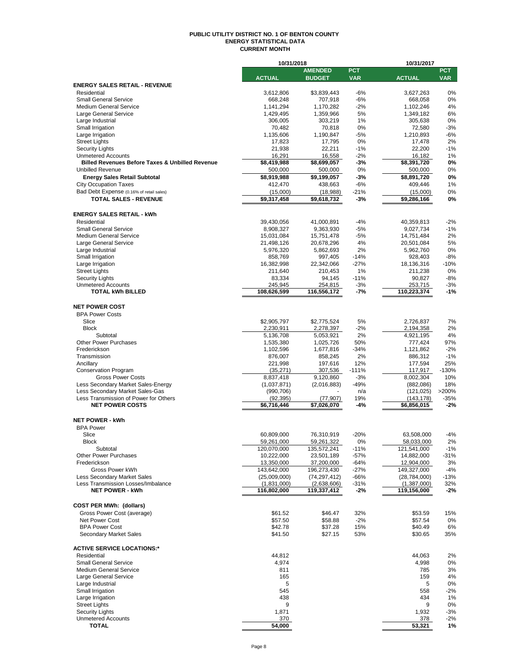#### **PUBLIC UTILITY DISTRICT NO. 1 OF BENTON COUNTY ENERGY STATISTICAL DATA CURRENT MONTH**

|                                                                          | 10/31/2018              |                          |             | 10/31/2017               |                 |  |  |
|--------------------------------------------------------------------------|-------------------------|--------------------------|-------------|--------------------------|-----------------|--|--|
|                                                                          |                         | <b>AMENDED</b>           | <b>PCT</b>  |                          | <b>PCT</b>      |  |  |
|                                                                          | <b>ACTUAL</b>           | <b>BUDGET</b>            | <b>VAR</b>  | <b>ACTUAL</b>            | <b>VAR</b>      |  |  |
| <b>ENERGY SALES RETAIL - REVENUE</b>                                     |                         |                          |             |                          |                 |  |  |
| Residential                                                              | 3,612,806               | \$3.839.443              | $-6%$       | 3,627,263                | 0%              |  |  |
| <b>Small General Service</b><br><b>Medium General Service</b>            | 668,248                 | 707,918                  | $-6%$       | 668,058                  | 0%              |  |  |
| Large General Service                                                    | 1,141,294<br>1,429,495  | 1,170,282<br>1,359,966   | $-2%$<br>5% | 1,102,246<br>1,349,182   | 4%<br>6%        |  |  |
| Large Industrial                                                         | 306,005                 | 303,219                  | 1%          | 305,638                  | 0%              |  |  |
| Small Irrigation                                                         | 70,482                  | 70,818                   | 0%          | 72,580                   | $-3%$           |  |  |
| Large Irrigation                                                         | 1,135,606               | 1,190,847                | -5%         | 1,210,893                | $-6%$           |  |  |
| <b>Street Lights</b>                                                     | 17,823                  | 17,795                   | 0%          | 17,478                   | 2%              |  |  |
| <b>Security Lights</b>                                                   | 21,938                  | 22,211                   | $-1%$       | 22,200                   | $-1%$           |  |  |
| <b>Unmetered Accounts</b>                                                | 16,291                  | 16,558                   | $-2%$       | 16,182                   | 1%              |  |  |
| <b>Billed Revenues Before Taxes &amp; Unbilled Revenue</b>               | \$8,419,988             | \$8,699,057              | -3%         | \$8,391,720              | 0%              |  |  |
| <b>Unbilled Revenue</b>                                                  | 500,000                 | 500,000                  | 0%          | 500,000                  | 0%              |  |  |
| <b>Energy Sales Retail Subtotal</b>                                      | \$8,919,988             | \$9,199,057              | -3%         | \$8,891,720              | 0%              |  |  |
| <b>City Occupation Taxes</b>                                             | 412,470                 | 438,663                  | -6%         | 409,446                  | 1%              |  |  |
| Bad Debt Expense (0.16% of retail sales)                                 | (15,000)                | (18,988)                 | $-21%$      | (15,000)                 | 0%              |  |  |
| <b>TOTAL SALES - REVENUE</b>                                             | $\overline{59,317,458}$ | $\overline{$9,618,732}$  | $-3%$       | \$9,286,166              | 0%              |  |  |
|                                                                          |                         |                          |             |                          |                 |  |  |
| <b>ENERGY SALES RETAIL - kWh</b>                                         |                         |                          |             |                          |                 |  |  |
| Residential                                                              | 39,430,056              | 41,000,891               | -4%         | 40,359,813               | $-2%$           |  |  |
| <b>Small General Service</b>                                             | 8,908,327               | 9,363,930                | $-5%$       | 9,027,734                | $-1%$           |  |  |
| <b>Medium General Service</b>                                            | 15,031,084              | 15,751,478               | -5%         | 14,751,484               | 2%              |  |  |
| Large General Service                                                    | 21,498,126              | 20,678,296               | 4%          | 20,501,084               | 5%              |  |  |
| Large Industrial                                                         | 5,976,320               | 5,862,693                | 2%          | 5,962,760                | 0%              |  |  |
| Small Irrigation                                                         | 858,769                 | 997,405                  | $-14%$      | 928,403                  | $-8%$           |  |  |
| Large Irrigation                                                         | 16,382,998              | 22,342,066               | $-27%$      | 18,136,316               | $-10%$          |  |  |
| <b>Street Lights</b>                                                     | 211,640                 | 210,453                  | 1%          | 211,238                  | 0%              |  |  |
| <b>Security Lights</b>                                                   | 83,334                  | 94,145                   | $-11%$      | 90,827                   | -8%             |  |  |
| <b>Unmetered Accounts</b>                                                | 245,945                 | 254,815                  | $-3%$       | 253,715                  | $-3%$           |  |  |
| <b>TOTAL kWh BILLED</b>                                                  | 108,626,599             | 116,556,172              | $-7%$       | 110,223,374              | $-1%$           |  |  |
|                                                                          |                         |                          |             |                          |                 |  |  |
| <b>NET POWER COST</b>                                                    |                         |                          |             |                          |                 |  |  |
| <b>BPA Power Costs</b>                                                   |                         |                          |             |                          |                 |  |  |
| Slice                                                                    | \$2,905,797             | \$2,775,524              | 5%          | 2,726,837                | 7%              |  |  |
| <b>Block</b>                                                             | 2,230,911               | 2,278,397                | $-2%$       | 2,194,358                | 2%              |  |  |
| Subtotal                                                                 | 5,136,708               | 5,053,921                | 2%          | 4,921,195                | 4%              |  |  |
| <b>Other Power Purchases</b>                                             | 1,535,380               | 1,025,726                | 50%         | 777,424                  | 97%             |  |  |
| Frederickson                                                             | 1,102,596               | 1,677,816                | $-34%$      | 1,121,862                | $-2%$           |  |  |
| Transmission                                                             | 876,007                 | 858,245                  | 2%          | 886,312                  | $-1%$           |  |  |
| Ancillary                                                                | 221,998                 | 197,616                  | 12%         | 177,594                  | 25%             |  |  |
| <b>Conservation Program</b>                                              | (35, 271)               | 307,536                  | $-111%$     | 117,917                  | $-130%$         |  |  |
| <b>Gross Power Costs</b>                                                 | 8,837,418               | 9,120,860                | $-3%$       | 8,002,304                | 10%             |  |  |
| Less Secondary Market Sales-Energy                                       | (1,037,871)             | (2,016,883)              | $-49%$      | (882,086)                | 18%             |  |  |
| Less Secondary Market Sales-Gas<br>Less Transmission of Power for Others | (990, 706)<br>(92, 395) |                          | n/a<br>19%  | (121, 025)<br>(143, 178) | >200%<br>$-35%$ |  |  |
| <b>NET POWER COSTS</b>                                                   | \$6,716,446             | (77, 907)<br>\$7.026.070 | -4%         | \$6,856,015              | -2%             |  |  |
|                                                                          |                         |                          |             |                          |                 |  |  |
| <b>NET POWER - kWh</b>                                                   |                         |                          |             |                          |                 |  |  |
| <b>BPA Power</b>                                                         |                         |                          |             |                          |                 |  |  |
| Slice                                                                    | 60.809.000              | 76.310.919               | $-20%$      | 63,508,000               | $-4%$           |  |  |
| RIOCK                                                                    | 59,261,000              | 59,261,322               | U%          | 58,033,000               | 2%              |  |  |
| Subtotal                                                                 | 120,070,000             | 135,572,241              | $-11%$      | 121,541,000              | $-1%$           |  |  |
| <b>Other Power Purchases</b>                                             | 10,222,000              | 23,501,189               | $-57%$      | 14,882,000               | $-31%$          |  |  |
| Frederickson                                                             | 13,350,000              | 37,200,000               | -64%        | 12,904,000               | 3%              |  |  |
| Gross Power kWh                                                          | 143,642,000             | 196,273,430              | $-27%$      | 149,327,000              | $-4%$           |  |  |
| <b>Less Secondary Market Sales</b>                                       | (25,009,000)            | (74, 297, 412)           | $-66%$      | (28, 784, 000)           | -13%            |  |  |
| Less Transmission Losses/Imbalance                                       | (1,831,000)             | (2,638,606)              | $-31%$      | (1,387,000)              | 32%             |  |  |
| <b>NET POWER - kWh</b>                                                   | 116,802,000             | 119,337,412              | -2%         | 119,156,000              | -2%             |  |  |
|                                                                          |                         |                          |             |                          |                 |  |  |
| <b>COST PER MWh: (dollars)</b>                                           |                         |                          |             |                          |                 |  |  |
| Gross Power Cost (average)                                               | \$61.52                 | \$46.47                  | 32%         | \$53.59                  | 15%             |  |  |
| Net Power Cost                                                           | \$57.50                 | \$58.88                  | $-2%$       | \$57.54                  | 0%              |  |  |
| <b>BPA Power Cost</b>                                                    | \$42.78                 | \$37.28                  | 15%         | \$40.49                  | 6%              |  |  |
| <b>Secondary Market Sales</b>                                            | \$41.50                 | \$27.15                  | 53%         | \$30.65                  | 35%             |  |  |
|                                                                          |                         |                          |             |                          |                 |  |  |
| <b>ACTIVE SERVICE LOCATIONS:*</b>                                        |                         |                          |             |                          |                 |  |  |
| Residential                                                              | 44,812                  |                          |             | 44,063                   | 2%              |  |  |
| <b>Small General Service</b>                                             | 4,974                   |                          |             | 4,998                    | 0%              |  |  |
| <b>Medium General Service</b>                                            | 811                     |                          |             | 785                      | 3%              |  |  |
| Large General Service                                                    | 165                     |                          |             | 159                      | 4%              |  |  |
| Large Industrial                                                         | 5                       |                          |             | 5                        | 0%              |  |  |
| Small Irrigation                                                         | 545                     |                          |             | 558                      | $-2%$           |  |  |
| Large Irrigation                                                         | 438                     |                          |             | 434                      | 1%              |  |  |
| <b>Street Lights</b>                                                     | 9                       |                          |             | 9                        | 0%              |  |  |
| <b>Security Lights</b>                                                   | 1,871                   |                          |             | 1,932                    | $-3%$           |  |  |
| <b>Unmetered Accounts</b>                                                | 370                     |                          |             | 378                      | $-2%$           |  |  |
| <b>TOTAL</b>                                                             | 54,000                  |                          |             | 53,321                   | 1%              |  |  |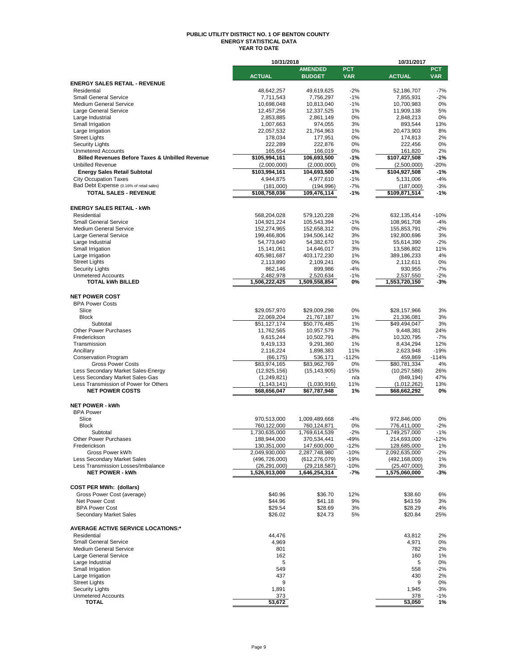#### **PUBLIC UTILITY DISTRICT NO. 1 OF BENTON COUNTY ENERGY STATISTICAL DATA YEAR TO DATE**

|                                                            | 10/31/2018                     |                                |                  | 10/31/2017                     |                |  |  |
|------------------------------------------------------------|--------------------------------|--------------------------------|------------------|--------------------------------|----------------|--|--|
|                                                            |                                | <b>AMENDED</b>                 | <b>PCT</b>       |                                | <b>PCT</b>     |  |  |
|                                                            | <b>ACTUAL</b>                  | <b>BUDGET</b>                  | <b>VAR</b>       | <b>ACTUAL</b>                  | <b>VAR</b>     |  |  |
| <b>ENERGY SALES RETAIL - REVENUE</b><br>Residential        |                                |                                |                  |                                |                |  |  |
| <b>Small General Service</b>                               | 48,642,257<br>7,711,543        | 49,619,625<br>7,756,297        | $-2%$<br>$-1%$   | 52,186,707<br>7,855,931        | $-7%$<br>$-2%$ |  |  |
| <b>Medium General Service</b>                              | 10,698,048                     | 10,813,040                     | $-1%$            | 10,700,983                     | 0%             |  |  |
| Large General Service                                      | 12,457,256                     | 12,337,525                     | 1%               | 11,909,138                     | 5%             |  |  |
| Large Industrial                                           | 2,853,885                      | 2,861,149                      | 0%               | 2,848,213                      | 0%             |  |  |
| Small Irrigation                                           | 1,007,663                      | 974,055                        | 3%               | 893,544                        | 13%            |  |  |
| Large Irrigation                                           | 22,057,532                     | 21,764,963                     | 1%               | 20,473,903                     | 8%             |  |  |
| <b>Street Lights</b>                                       | 178,034                        | 177,951                        | 0%               | 174,813                        | 2%             |  |  |
| <b>Security Lights</b><br><b>Unmetered Accounts</b>        | 222,289<br>165,654             | 222,876                        | 0%               | 222,456                        | 0%             |  |  |
| <b>Billed Revenues Before Taxes &amp; Unbilled Revenue</b> | \$105,994,161                  | 166,019<br>106,693,500         | 0%<br>-1%        | 161,820<br>\$107,427,508       | 2%<br>$-1%$    |  |  |
| <b>Unbilled Revenue</b>                                    | (2,000,000)                    | (2,000,000)                    | 0%               | (2,500,000)                    | $-20%$         |  |  |
| <b>Energy Sales Retail Subtotal</b>                        | \$103,994,161                  | 104,693,500                    | $-1%$            | \$104,927,508                  | $-1%$          |  |  |
| <b>City Occupation Taxes</b>                               | 4,944,875                      | 4,977,610                      | $-1%$            | 5,131,006                      | $-4%$          |  |  |
| Bad Debt Expense (0.16% of retail sales)                   | (181,000)                      | (194, 996)                     | $-7%$            | (187,000)                      | $-3%$          |  |  |
| <b>TOTAL SALES - REVENUE</b>                               | \$108,758,036                  | 109,476,114                    | $-1%$            | \$109,871,514                  | $-1%$          |  |  |
|                                                            |                                |                                |                  |                                |                |  |  |
| <b>ENERGY SALES RETAIL - kWh</b>                           |                                |                                |                  |                                |                |  |  |
| Residential                                                | 568,204,028                    | 579,120,228                    | $-2%$            | 632,135,414                    | $-10%$         |  |  |
| <b>Small General Service</b>                               | 104,921,224                    | 105,543,394                    | $-1%$            | 108,961,708                    | $-4%$          |  |  |
| <b>Medium General Service</b>                              | 152,274,965                    | 152,658,312                    | 0%               | 155,853,791                    | $-2%$          |  |  |
| Large General Service                                      | 199,466,806                    | 194,506,142                    | 3%               | 192,800,696                    | 3%             |  |  |
| Large Industrial                                           | 54,773,640                     | 54,382,670                     | 1%               | 55,614,390                     | $-2%$          |  |  |
| Small Irrigation                                           | 15,141,061                     | 14,646,017                     | 3%               | 13,586,802                     | 11%            |  |  |
| Large Irrigation                                           | 405,981,687                    | 403,172,230                    | 1%               | 389,186,233                    | 4%             |  |  |
| <b>Street Lights</b>                                       | 2,113,890                      | 2,109,241                      | 0%               | 2,112,611                      | 0%             |  |  |
| <b>Security Lights</b><br><b>Unmetered Accounts</b>        | 862,146<br>2,482,978           | 899,986                        | -4%<br>$-1%$     | 930,955<br>2,537,550           | $-7%$<br>$-2%$ |  |  |
| <b>TOTAL kWh BILLED</b>                                    | 1,506,222,425                  | 2,520,634<br>1,509,558,854     | 0%               | 1,553,720,150                  | $-3%$          |  |  |
|                                                            |                                |                                |                  |                                |                |  |  |
| <b>NET POWER COST</b>                                      |                                |                                |                  |                                |                |  |  |
| <b>BPA Power Costs</b>                                     |                                |                                |                  |                                |                |  |  |
| Slice                                                      | \$29,057,970                   | \$29,009,298                   | 0%               | \$28,157,966                   | 3%             |  |  |
| <b>Block</b>                                               | 22,069,204                     | 21,767,187                     | 1%               | 21,336,081                     | 3%             |  |  |
| Subtotal                                                   | \$51,127,174                   | \$50,776,485                   | 1%               | \$49,494,047                   | 3%             |  |  |
| <b>Other Power Purchases</b>                               | 11,762,565                     | 10,957,579                     | 7%               | 9,448,381                      | 24%            |  |  |
| Frederickson                                               | 9,615,244                      | 10,502,791                     | $-8%$            | 10,320,795                     | $-7%$          |  |  |
| Transmission                                               | 9,419,133                      | 9,291,360                      | 1%               | 8,434,294                      | 12%            |  |  |
| Ancillary                                                  | 2,116,224                      | 1,898,383                      | 11%              | 2,623,948                      | $-19%$         |  |  |
| <b>Conservation Program</b><br><b>Gross Power Costs</b>    | (66, 175)                      | 536,171                        | $-112%$<br>0%    | 459,869                        | $-114%$        |  |  |
| Less Secondary Market Sales-Energy                         | \$83,974,165<br>(12, 925, 156) | \$83,962,769<br>(15, 143, 905) | $-15%$           | \$80,781,334<br>(10, 257, 586) | 4%<br>26%      |  |  |
| Less Secondary Market Sales-Gas                            | (1, 249, 821)                  |                                | n/a              | (849, 194)                     | 47%            |  |  |
| Less Transmission of Power for Others                      | (1, 143, 141)                  | (1,030,916)                    | 11%              | (1,012,262)                    | 13%            |  |  |
| <b>NET POWER COSTS</b>                                     | \$68,656,047                   | \$67,787,948                   | 1%               | \$68,662,292                   | 0%             |  |  |
|                                                            |                                |                                |                  |                                |                |  |  |
| <b>NET POWER - kWh</b>                                     |                                |                                |                  |                                |                |  |  |
| <b>BPA Power</b>                                           |                                |                                |                  |                                |                |  |  |
| Slice                                                      | 970,513,000                    | 1,009,489,668                  | $-4%$            | 972,846,000                    | 0%             |  |  |
| <b>Block</b>                                               | 760,122,000                    | 760,124,871                    | 0%               | 776,411,000                    | $-2%$          |  |  |
| Subtotal                                                   | 1,730,635,000                  | 1,769,614,539                  | $-2%$            | 1,749,257,000                  | $-1%$          |  |  |
| Other Power Purchases                                      | 188,944,000                    | 370,534,441                    | 49%              | 214,693,000                    | $-12%$         |  |  |
| Frederickson<br>Gross Power kWh                            | 130,351,000<br>2,049,930,000   | 147,600,000<br>2,287,748,980   | $-12%$<br>$-10%$ | 128,685,000<br>2,092,635,000   | 1%<br>$-2%$    |  |  |
| Less Secondary Market Sales                                | (496, 726, 000)                | (612, 276, 079)                | $-19%$           | (492, 168, 000)                | 1%             |  |  |
| Less Transmission Losses/Imbalance                         | (26, 291, 000)                 | (29, 218, 587)                 | $-10%$           | (25, 407, 000)                 | 3%             |  |  |
| <b>NET POWER - kWh</b>                                     | 1,526,913,000                  | 1,646,254,314                  | -7%              | 1,575,060,000                  | $-3%$          |  |  |
|                                                            |                                |                                |                  |                                |                |  |  |
| <b>COST PER MWh: (dollars)</b>                             |                                |                                |                  |                                |                |  |  |
| Gross Power Cost (average)                                 | \$40.96                        | \$36.70                        | 12%              | \$38.60                        | 6%             |  |  |
| Net Power Cost                                             | \$44.96                        | \$41.18                        | 9%               | \$43.59                        | 3%             |  |  |
| <b>BPA Power Cost</b>                                      | \$29.54                        | \$28.69                        | 3%               | \$28.29                        | 4%             |  |  |
| Secondary Market Sales                                     | \$26.02                        | \$24.73                        | 5%               | \$20.84                        | 25%            |  |  |
|                                                            |                                |                                |                  |                                |                |  |  |
| <b>AVERAGE ACTIVE SERVICE LOCATIONS:*</b>                  |                                |                                |                  |                                |                |  |  |
| Residential                                                | 44,476                         |                                |                  | 43,812                         | 2%             |  |  |
| <b>Small General Service</b><br>Medium General Service     | 4,969<br>801                   |                                |                  | 4,971<br>782                   | 0%<br>2%       |  |  |
| Large General Service                                      | 162                            |                                |                  | 160                            | 1%             |  |  |
| Large Industrial                                           | 5                              |                                |                  | 5                              | 0%             |  |  |
| Small Irrigation                                           | 549                            |                                |                  | 558                            | $-2\%$         |  |  |
| Large Irrigation                                           | 437                            |                                |                  | 430                            | 2%             |  |  |
| <b>Street Lights</b>                                       | 9                              |                                |                  | 9                              | 0%             |  |  |
| <b>Security Lights</b>                                     | 1,891                          |                                |                  | 1,945                          | $-3%$          |  |  |
| <b>Unmetered Accounts</b>                                  | 373                            |                                |                  | 378                            | $-1%$          |  |  |
| <b>TOTAL</b>                                               | 53,672                         |                                |                  | 53,050                         | 1%             |  |  |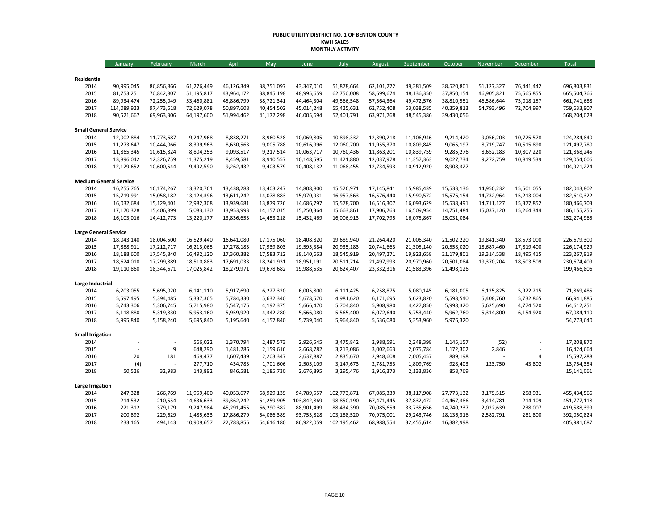#### **PUBLIC UTILITY DISTRICT NO. 1 OF BENTON COUNTY KWH SALES MONTHLY ACTIVITY**

|                               | January                  | February                 | March                    | April                    | May                      | June                     | July                     | August                   | September                | October                  | November                 | December                 | Total                      |
|-------------------------------|--------------------------|--------------------------|--------------------------|--------------------------|--------------------------|--------------------------|--------------------------|--------------------------|--------------------------|--------------------------|--------------------------|--------------------------|----------------------------|
|                               |                          |                          |                          |                          |                          |                          |                          |                          |                          |                          |                          |                          |                            |
| Residential                   |                          |                          |                          |                          |                          |                          |                          |                          |                          |                          |                          |                          |                            |
| 2014                          | 90,995,045               | 86,856,866               | 61,276,449               | 46,126,349               | 38,751,097               | 43,347,010               | 51,878,664               | 62,101,272               | 49,381,509               | 38,520,801               | 51,127,327               | 76,441,442               | 696,803,831                |
| 2015<br>2016                  | 81,753,251<br>89,934,474 | 70,842,807<br>72,255,049 | 51,195,817<br>53,460,881 | 43,964,172<br>45,886,799 | 38,845,198<br>38,721,341 | 48,995,659<br>44,464,304 | 62,750,008<br>49,566,548 | 58,699,674<br>57,564,364 | 48,136,350<br>49,472,576 | 37,850,154<br>38,810,551 | 46,905,821<br>46,586,644 | 75,565,855<br>75,018,157 | 665,504,766<br>661,741,688 |
| 2017                          | 114,089,923              | 97,473,618               | 72,629,078               | 50,897,608               | 40,454,502               | 45,014,248               | 55,425,631               | 62,752,408               | 53,038,585               | 40,359,813               | 54,793,496               | 72,704,997               | 759,633,907                |
| 2018                          | 90,521,667               | 69,963,306               | 64,197,600               | 51,994,462               | 41,172,298               | 46,005,694               | 52,401,791               | 63,971,768               | 48,545,386               | 39,430,056               |                          |                          | 568,204,028                |
|                               |                          |                          |                          |                          |                          |                          |                          |                          |                          |                          |                          |                          |                            |
| <b>Small General Service</b>  |                          |                          |                          |                          |                          |                          |                          |                          |                          |                          |                          |                          |                            |
| 2014                          | 12,002,884               | 11,773,687               | 9,247,968                | 8,838,271                | 8,960,528                | 10,069,805               | 10,898,332               | 12,390,218               | 11,106,946               | 9,214,420                | 9,056,203                | 10,725,578               | 124,284,840                |
| 2015                          | 11,273,647               | 10,444,066               | 8,399,963                | 8,630,563                | 9,005,788                | 10,616,996               | 12,060,700               | 11,955,370               | 10,809,845               | 9,065,197                | 8,719,747                | 10,515,898               | 121,497,780                |
| 2016                          | 11,865,345               | 10,615,824               | 8,804,253                | 9,093,517                | 9,217,514                | 10,063,717               | 10,760,436               | 11,863,201               | 10,839,759               | 9,285,276                | 8,652,183                | 10,807,220               | 121,868,245                |
| 2017                          | 13,896,042               | 12,326,759               | 11,375,219               | 8,459,581                | 8,910,557                | 10,148,595               | 11,421,880               | 12,037,978               | 11,357,363               | 9,027,734                | 9,272,759                | 10,819,539               | 129,054,006                |
| 2018                          | 12,129,652               | 10,600,544               | 9,492,590                | 9,262,432                | 9,403,579                | 10,408,132               | 11,068,455               | 12,734,593               | 10,912,920               | 8,908,327                |                          |                          | 104,921,224                |
| <b>Medium General Service</b> |                          |                          |                          |                          |                          |                          |                          |                          |                          |                          |                          |                          |                            |
| 2014                          | 16,255,765               | 16,174,267               | 13,320,761               | 13,438,288               | 13,403,247               | 14,808,800               | 15,526,971               | 17,145,841               | 15,985,439               | 15,533,136               | 14,950,232               | 15,501,055               | 182,043,802                |
| 2015                          | 15,719,991               | 15,058,182               | 13,124,396               | 13,611,242               | 14,078,883               | 15,970,931               | 16,957,563               | 16,576,440               | 15,990,572               | 15,576,154               | 14,732,964               | 15,213,004               | 182,610,322                |
| 2016                          | 16,032,684               | 15,129,401               | 12,982,308               | 13,939,681               | 13,879,726               | 14,686,797               | 15,578,700               | 16,516,307               | 16,093,629               | 15,538,491               | 14,711,127               | 15,377,852               | 180,466,703                |
| 2017                          | 17,170,328               | 15,406,899               | 15,083,130               | 13,953,993               | 14,157,015               | 15,250,364               | 15,663,861               | 17,906,763               | 16,509,954               | 14,751,484               | 15,037,120               | 15,264,344               | 186,155,255                |
| 2018                          | 16,103,016               | 14,412,773               | 13,220,177               | 13,836,653               | 14,453,218               | 15,432,469               | 16,006,913               | 17,702,795               | 16,075,867               | 15,031,084               |                          |                          | 152,274,965                |
|                               |                          |                          |                          |                          |                          |                          |                          |                          |                          |                          |                          |                          |                            |
| <b>Large General Service</b>  |                          |                          |                          |                          |                          |                          |                          |                          |                          |                          |                          |                          |                            |
| 2014                          | 18,043,140               | 18,004,500               | 16,529,440               | 16,641,080               | 17,175,060               | 18,408,820               | 19,689,940               | 21,264,420               | 21,006,340               | 21,502,220               | 19,841,340               | 18,573,000               | 226,679,300                |
| 2015                          | 17,888,911               | 17,212,717               | 16,213,065               | 17,278,183               | 17,939,803               | 19,595,384               | 20,935,183               | 20,741,663               | 21,305,140               | 20,558,020               | 18,687,460               | 17,819,400               | 226,174,929                |
| 2016                          | 18,188,600               | 17,545,840               | 16,492,120               | 17,360,382               | 17,583,712               | 18,140,663               | 18,545,919               | 20,497,271               | 19,923,658               | 21,179,801               | 19,314,538               | 18,495,415               | 223,267,919                |
| 2017                          | 18,624,018               | 17,299,889               | 18,510,883               | 17,691,033               | 18,241,931               | 18,951,191               | 20,511,714               | 21,497,993               | 20,970,960               | 20,501,084               | 19,370,204               | 18,503,509               | 230,674,409                |
| 2018                          | 19,110,860               | 18,344,671               | 17,025,842               | 18,279,971               | 19,678,682               | 19,988,535               | 20,624,407               | 23,332,316               | 21,583,396               | 21,498,126               |                          |                          | 199,466,806                |
| Large Industrial              |                          |                          |                          |                          |                          |                          |                          |                          |                          |                          |                          |                          |                            |
| 2014                          | 6,203,055                | 5,695,020                | 6,141,110                | 5,917,690                | 6,227,320                | 6,005,800                | 6,111,425                | 6,258,875                | 5,080,145                | 6,181,005                | 6,125,825                | 5,922,215                | 71,869,485                 |
| 2015                          | 5,597,495                | 5,394,485                | 5,337,365                | 5,784,330                | 5,632,340                | 5,678,570                | 4,981,620                | 6,171,695                | 5,623,820                | 5,598,540                | 5,408,760                | 5,732,865                | 66,941,885                 |
| 2016                          | 5,743,306                | 5,306,745                | 5,715,980                | 5,547,175                | 4,192,375                | 5,666,470                | 5,704,840                | 5,908,980                | 4,427,850                | 5,998,320                | 5,625,690                | 4,774,520                | 64,612,251                 |
| 2017                          | 5,118,880                | 5,319,830                | 5,953,160                | 5,959,920                | 4,342,280                | 5,566,080                | 5,565,400                | 6,072,640                | 5,753,440                | 5,962,760                | 5,314,800                | 6,154,920                | 67,084,110                 |
| 2018                          | 5,995,840                | 5,158,240                | 5,695,840                | 5,195,640                | 4,157,840                | 5,739,040                | 5,964,840                | 5,536,080                | 5,353,960                | 5,976,320                |                          |                          | 54,773,640                 |
|                               |                          |                          |                          |                          |                          |                          |                          |                          |                          |                          |                          |                          |                            |
| <b>Small Irrigation</b>       |                          |                          |                          |                          |                          |                          |                          |                          |                          |                          |                          |                          |                            |
| 2014                          |                          | $\sim$                   | 566,022                  | 1,370,794                | 2,487,573                | 2,926,545                | 3,475,842                | 2,988,591                | 2,248,398                | 1,145,157                | (52)                     |                          | 17,208,870                 |
| 2015                          |                          | 9                        | 648,290                  | 1,481,286                | 2,159,616                | 2,668,782                | 3,213,086                | 3,002,663                | 2,075,784                | 1,172,302                | 2,846                    |                          | 16,424,664                 |
| 2016                          | 20                       | 181                      | 469,477                  | 1,607,439                | 2,203,347                | 2,637,887                | 2,835,670                | 2,948,608                | 2,005,457                | 889,198                  |                          | 4                        | 15,597,288                 |
| 2017                          | (4)                      |                          | 277,710                  | 434,783                  | 1,701,606                | 2,505,109                | 3,147,673                | 2,781,753                | 1,809,769                | 928,403                  | 123,750                  | 43,802                   | 13,754,354                 |
| 2018                          | 50,526                   | 32,983                   | 143,892                  | 846,581                  | 2,185,730                | 2,676,895                | 3,295,476                | 2,916,373                | 2,133,836                | 858,769                  |                          |                          | 15,141,061                 |
| <b>Large Irrigation</b>       |                          |                          |                          |                          |                          |                          |                          |                          |                          |                          |                          |                          |                            |
| 2014                          | 247,328                  | 266,769                  | 11,959,400               | 40,053,677               | 68,929,139               | 94,789,557               | 102,773,871              | 67,085,339               | 38,117,908               | 27,773,132               | 3,179,515                | 258,931                  | 455,434,566                |
| 2015                          | 214,532                  | 210,554                  | 14,636,633               | 39,362,242               | 61,259,905               | 103,842,869              | 98,850,190               | 67,471,445               | 37,832,472               | 24,467,386               | 3,414,781                | 214,109                  | 451,777,118                |
| 2016                          | 221,312                  | 379,179                  | 9,247,984                | 45,291,455               | 66,290,382               | 88,901,499               | 88,434,390               | 70,085,659               | 33,735,656               | 14,740,237               | 2,022,639                | 238,007                  | 419,588,399                |
| 2017                          | 200,892                  | 229,629                  | 1,485,633                | 17,886,279               | 54,086,389               | 93,753,828               | 103,188,520              | 70,975,001               | 29,243,746               | 18,136,316               | 2,582,791                | 281,800                  | 392,050,824                |
| 2018                          | 233,165                  | 494,143                  | 10,909,657               | 22,783,855               | 64,616,180               | 86,922,059               | 102,195,462              | 68,988,554               | 32,455,614               | 16,382,998               |                          |                          | 405,981,687                |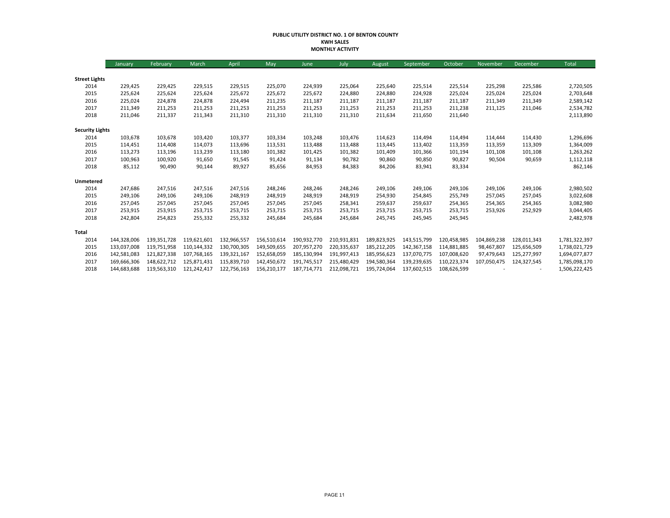#### **PUBLIC UTILITY DISTRICT NO. 1 OF BENTON COUNTY KWH SALES MONTHLY ACTIVITY**

|                        | January     | February    | March       | April       | May         | June        | July        | August      | September   | October     | November    | December    | Total         |
|------------------------|-------------|-------------|-------------|-------------|-------------|-------------|-------------|-------------|-------------|-------------|-------------|-------------|---------------|
|                        |             |             |             |             |             |             |             |             |             |             |             |             |               |
| <b>Street Lights</b>   |             |             |             |             |             |             |             |             |             |             |             |             |               |
| 2014                   | 229,425     | 229,425     | 229,515     | 229,515     | 225,070     | 224,939     | 225,064     | 225,640     | 225,514     | 225,514     | 225,298     | 225,586     | 2,720,505     |
| 2015                   | 225,624     | 225,624     | 225,624     | 225,672     | 225,672     | 225,672     | 224,880     | 224,880     | 224,928     | 225,024     | 225,024     | 225,024     | 2,703,648     |
| 2016                   | 225,024     | 224,878     | 224,878     | 224,494     | 211,235     | 211,187     | 211,187     | 211,187     | 211,187     | 211,187     | 211,349     | 211,349     | 2,589,142     |
| 2017                   | 211,349     | 211,253     | 211,253     | 211,253     | 211,253     | 211,253     | 211,253     | 211,253     | 211,253     | 211,238     | 211,125     | 211,046     | 2,534,782     |
| 2018                   | 211,046     | 211,337     | 211,343     | 211,310     | 211,310     | 211,310     | 211,310     | 211,634     | 211,650     | 211,640     |             |             | 2,113,890     |
| <b>Security Lights</b> |             |             |             |             |             |             |             |             |             |             |             |             |               |
| 2014                   | 103,678     | 103,678     | 103,420     | 103,377     | 103,334     | 103,248     | 103,476     | 114,623     | 114,494     | 114,494     | 114,444     | 114,430     | 1,296,696     |
| 2015                   | 114,451     | 114,408     | 114,073     | 113,696     | 113,531     | 113,488     | 113,488     | 113,445     | 113,402     | 113,359     | 113,359     | 113,309     | 1,364,009     |
| 2016                   | 113,273     | 113,196     | 113,239     | 113,180     | 101,382     | 101,425     | 101,382     | 101,409     | 101,366     | 101,194     | 101,108     | 101,108     | 1,263,262     |
| 2017                   | 100,963     | 100,920     | 91,650      | 91,545      | 91,424      | 91,134      | 90,782      | 90,860      | 90,850      | 90,827      | 90,504      | 90,659      | 1,112,118     |
| 2018                   | 85,112      | 90,490      | 90,144      | 89,927      | 85,656      | 84,953      | 84,383      | 84,206      | 83,941      | 83,334      |             |             | 862,146       |
| Unmetered              |             |             |             |             |             |             |             |             |             |             |             |             |               |
| 2014                   | 247,686     | 247,516     | 247,516     | 247,516     | 248,246     | 248,246     | 248,246     | 249,106     | 249,106     | 249,106     | 249,106     | 249,106     | 2,980,502     |
| 2015                   | 249,106     | 249,106     | 249,106     | 248,919     | 248,919     | 248,919     | 248,919     | 254,930     | 254,845     | 255,749     | 257,045     | 257,045     | 3,022,608     |
| 2016                   | 257,045     | 257,045     | 257,045     | 257,045     | 257,045     | 257,045     | 258,341     | 259,637     | 259,637     | 254,365     | 254,365     | 254,365     | 3,082,980     |
| 2017                   | 253,915     | 253,915     | 253,715     | 253,715     | 253,715     | 253,715     | 253,715     | 253,715     | 253,715     | 253,715     | 253,926     | 252,929     | 3,044,405     |
| 2018                   | 242,804     | 254,823     | 255,332     | 255,332     | 245,684     | 245,684     | 245,684     | 245,745     | 245,945     | 245,945     |             |             | 2,482,978     |
| Total                  |             |             |             |             |             |             |             |             |             |             |             |             |               |
| 2014                   | 144,328,006 | 139,351,728 | 119,621,601 | 132,966,557 | 156,510,614 | 190,932,770 | 210,931,831 | 189,823,925 | 143,515,799 | 120,458,985 | 104,869,238 | 128,011,343 | 1,781,322,397 |
| 2015                   | 133,037,008 | 119,751,958 | 110,144,332 | 130,700,305 | 149,509,655 | 207,957,270 | 220,335,637 | 185,212,205 | 142,367,158 | 114,881,885 | 98,467,807  | 125,656,509 | 1,738,021,729 |
| 2016                   | 142,581,083 | 121,827,338 | 107.768.165 | 139,321,167 | 152,658,059 | 185,130,994 | 191,997,413 | 185,956,623 | 137,070,775 | 107,008,620 | 97,479,643  | 125,277,997 | 1,694,077,877 |
| 2017                   | 169,666,306 | 148,622,712 | 125,871,431 | 115,839,710 | 142,450,672 | 191.745.517 | 215,480,429 | 194,580,364 | 139,239,635 | 110,223,374 | 107,050,475 | 124,327,545 | 1,785,098,170 |
| 2018                   | 144,683,688 | 119,563,310 | 121,242,417 | 122,756,163 | 156,210,177 | 187,714,771 | 212,098,721 | 195,724,064 | 137,602,515 | 108,626,599 |             |             | 1,506,222,425 |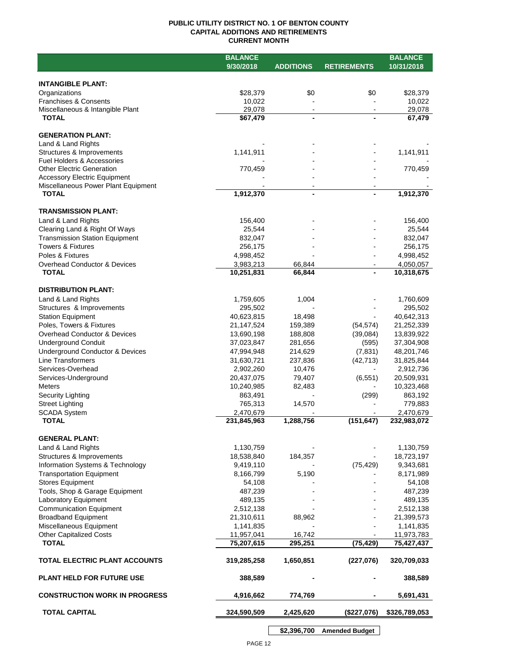## **PUBLIC UTILITY DISTRICT NO. 1 OF BENTON COUNTY CAPITAL ADDITIONS AND RETIREMENTS CURRENT MONTH**

|                                                  | <b>BALANCE</b>           |                                  |                    | <b>BALANCE</b>           |
|--------------------------------------------------|--------------------------|----------------------------------|--------------------|--------------------------|
|                                                  | 9/30/2018                | <b>ADDITIONS</b>                 | <b>RETIREMENTS</b> | 10/31/2018               |
|                                                  |                          |                                  |                    |                          |
| <b>INTANGIBLE PLANT:</b>                         |                          |                                  |                    |                          |
| Organizations                                    | \$28,379                 | \$0                              | \$0                | \$28,379                 |
| <b>Franchises &amp; Consents</b>                 | 10,022<br>29,078         |                                  |                    | 10,022                   |
| Miscellaneous & Intangible Plant<br><b>TOTAL</b> | \$67,479                 | $\blacksquare$<br>$\blacksquare$ |                    | 29,078<br>67,479         |
|                                                  |                          |                                  |                    |                          |
| <b>GENERATION PLANT:</b>                         |                          |                                  |                    |                          |
| Land & Land Rights                               |                          |                                  |                    |                          |
| Structures & Improvements                        | 1,141,911                |                                  |                    | 1,141,911                |
| <b>Fuel Holders &amp; Accessories</b>            |                          |                                  |                    |                          |
| <b>Other Electric Generation</b>                 | 770,459                  |                                  |                    | 770,459                  |
| <b>Accessory Electric Equipment</b>              |                          |                                  |                    |                          |
| Miscellaneous Power Plant Equipment              |                          |                                  |                    |                          |
| <b>TOTAL</b>                                     | 1,912,370                | $\blacksquare$                   |                    | 1,912,370                |
| <b>TRANSMISSION PLANT:</b>                       |                          |                                  |                    |                          |
| Land & Land Rights                               | 156,400                  |                                  |                    | 156,400                  |
| Clearing Land & Right Of Ways                    | 25,544                   |                                  |                    | 25,544                   |
| <b>Transmission Station Equipment</b>            | 832,047                  |                                  |                    | 832,047                  |
| <b>Towers &amp; Fixtures</b>                     | 256,175                  |                                  |                    | 256,175                  |
| Poles & Fixtures                                 | 4,998,452                |                                  |                    | 4,998,452                |
| Overhead Conductor & Devices                     | 3,983,213                | 66,844                           |                    | 4,050,057                |
| <b>TOTAL</b>                                     | 10,251,831               | 66,844                           |                    | 10,318,675               |
|                                                  |                          |                                  |                    |                          |
| <b>DISTRIBUTION PLANT:</b>                       |                          |                                  |                    |                          |
| Land & Land Rights                               | 1,759,605                | 1,004                            |                    | 1,760,609                |
| Structures & Improvements                        | 295,502                  |                                  |                    | 295,502                  |
| <b>Station Equipment</b>                         | 40,623,815               | 18,498                           |                    | 40,642,313               |
| Poles, Towers & Fixtures                         | 21,147,524               | 159,389                          | (54, 574)          | 21,252,339               |
| Overhead Conductor & Devices                     | 13,690,198               | 188,808                          | (39,084)           | 13,839,922               |
| <b>Underground Conduit</b>                       | 37,023,847               | 281,656                          | (595)              | 37,304,908               |
| Underground Conductor & Devices                  | 47,994,948               | 214,629                          | (7, 831)           | 48,201,746               |
| <b>Line Transformers</b>                         | 31,630,721               | 237,836                          | (42, 713)          | 31,825,844               |
| Services-Overhead                                | 2,902,260                | 10,476                           |                    | 2,912,736                |
| Services-Underground                             | 20,437,075               | 79,407                           | (6, 551)           | 20,509,931               |
| <b>Meters</b>                                    | 10,240,985               | 82,483                           |                    | 10,323,468               |
| Security Lighting                                | 863,491                  |                                  | (299)              | 863,192                  |
| <b>Street Lighting</b>                           | 765,313                  | 14,570                           |                    | 779,883                  |
| <b>SCADA System</b><br><b>TOTAL</b>              | 2,470,679<br>231,845,963 | 1,288,756                        | (151, 647)         | 2,470,679<br>232,983,072 |
|                                                  |                          |                                  |                    |                          |
| <b>GENERAL PLANT:</b>                            |                          |                                  |                    |                          |
| Land & Land Rights                               | 1,130,759                |                                  |                    | 1,130,759                |
| Structures & Improvements                        | 18,538,840               | 184,357                          |                    | 18,723,197               |
| Information Systems & Technology                 | 9,419,110                |                                  | (75, 429)          | 9,343,681                |
| <b>Transportation Equipment</b>                  | 8,166,799                | 5,190                            |                    | 8,171,989                |
| <b>Stores Equipment</b>                          | 54,108                   |                                  |                    | 54,108                   |
| Tools, Shop & Garage Equipment                   | 487,239                  |                                  |                    | 487,239                  |
| Laboratory Equipment                             | 489,135                  |                                  |                    | 489,135                  |
| <b>Communication Equipment</b>                   | 2,512,138                |                                  |                    | 2,512,138                |
| <b>Broadband Equipment</b>                       | 21,310,611               | 88,962                           |                    | 21,399,573               |
| Miscellaneous Equipment                          | 1,141,835                |                                  |                    | 1,141,835                |
| <b>Other Capitalized Costs</b>                   | 11,957,041               | 16,742                           |                    | 11,973,783               |
| <b>TOTAL</b>                                     | 75,207,615               | 295,251                          | (75, 429)          | 75,427,437               |
| TOTAL ELECTRIC PLANT ACCOUNTS                    | 319,285,258              | 1,650,851                        | (227, 076)         | 320,709,033              |
| <b>PLANT HELD FOR FUTURE USE</b>                 | 388,589                  |                                  |                    | 388,589                  |
| <b>CONSTRUCTION WORK IN PROGRESS</b>             |                          |                                  |                    |                          |
|                                                  | 4,916,662                | 774,769                          |                    | 5,691,431                |
| <b>TOTAL CAPITAL</b>                             | 324,590,509              | 2,425,620                        | (\$227,076)        | \$326,789,053            |

**\$2,396,700 Amended Budget**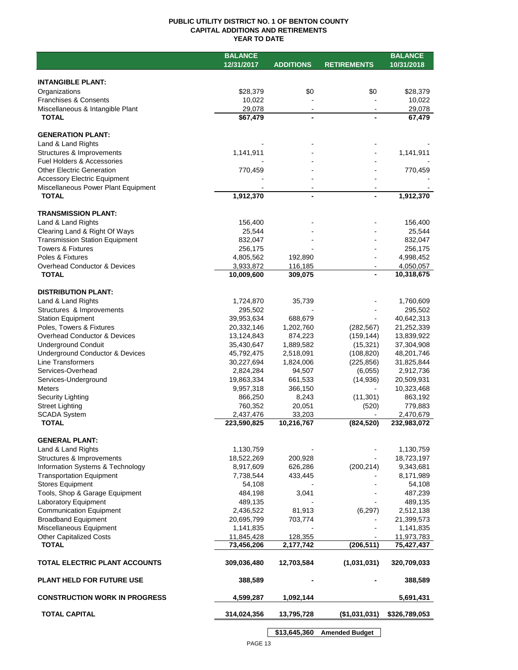## **PUBLIC UTILITY DISTRICT NO. 1 OF BENTON COUNTY CAPITAL ADDITIONS AND RETIREMENTS YEAR TO DATE**

|                                       | <b>BALANCE</b> |                  |                       | <b>BALANCE</b> |
|---------------------------------------|----------------|------------------|-----------------------|----------------|
|                                       | 12/31/2017     | <b>ADDITIONS</b> | <b>RETIREMENTS</b>    | 10/31/2018     |
|                                       |                |                  |                       |                |
| <b>INTANGIBLE PLANT:</b>              |                |                  |                       |                |
| Organizations                         | \$28,379       | \$0              | \$0                   | \$28,379       |
| <b>Franchises &amp; Consents</b>      | 10,022         |                  |                       | 10,022         |
| Miscellaneous & Intangible Plant      | 29,078         |                  |                       | 29,078         |
| <b>TOTAL</b>                          | \$67,479       |                  |                       | 67,479         |
|                                       |                |                  |                       |                |
| <b>GENERATION PLANT:</b>              |                |                  |                       |                |
| Land & Land Rights                    |                |                  |                       |                |
| Structures & Improvements             | 1,141,911      |                  |                       | 1,141,911      |
| Fuel Holders & Accessories            |                |                  |                       |                |
| <b>Other Electric Generation</b>      | 770,459        |                  |                       | 770,459        |
| <b>Accessory Electric Equipment</b>   |                |                  |                       |                |
| Miscellaneous Power Plant Equipment   |                |                  |                       |                |
| <b>TOTAL</b>                          | 1,912,370      | -                |                       | 1,912,370      |
|                                       |                |                  |                       |                |
| <b>TRANSMISSION PLANT:</b>            |                |                  |                       |                |
| Land & Land Rights                    | 156,400        |                  |                       | 156,400        |
| Clearing Land & Right Of Ways         | 25,544         |                  |                       | 25,544         |
| <b>Transmission Station Equipment</b> | 832,047        |                  |                       | 832,047        |
| <b>Towers &amp; Fixtures</b>          | 256,175        |                  |                       | 256,175        |
| Poles & Fixtures                      | 4,805,562      | 192,890          |                       | 4,998,452      |
| Overhead Conductor & Devices          | 3,933,872      | 116,185          |                       | 4,050,057      |
| <b>TOTAL</b>                          | 10,009,600     | 309,075          |                       | 10,318,675     |
|                                       |                |                  |                       |                |
| <b>DISTRIBUTION PLANT:</b>            |                |                  |                       |                |
| Land & Land Rights                    | 1,724,870      | 35,739           |                       | 1,760,609      |
| Structures & Improvements             | 295,502        |                  |                       | 295,502        |
| <b>Station Equipment</b>              | 39,953,634     | 688,679          |                       | 40,642,313     |
| Poles, Towers & Fixtures              | 20,332,146     | 1,202,760        | (282, 567)            | 21,252,339     |
| Overhead Conductor & Devices          | 13,124,843     | 874,223          | (159, 144)            | 13,839,922     |
| <b>Underground Conduit</b>            | 35,430,647     | 1,889,582        | (15, 321)             | 37,304,908     |
| Underground Conductor & Devices       | 45,792,475     | 2,518,091        | (108, 820)            | 48,201,746     |
| Line Transformers                     | 30,227,694     | 1,824,006        | (225, 856)            | 31,825,844     |
| Services-Overhead                     | 2,824,284      | 94,507           | (6,055)               | 2,912,736      |
| Services-Underground                  | 19,863,334     | 661,533          | (14, 936)             | 20,509,931     |
| Meters                                | 9,957,318      | 366,150          |                       | 10,323,468     |
| Security Lighting                     | 866,250        | 8,243            | (11, 301)             | 863,192        |
| <b>Street Lighting</b>                | 760,352        | 20,051           | (520)                 | 779,883        |
| <b>SCADA System</b>                   | 2,437,476      | 33,203           |                       | 2,470,679      |
| <b>TOTAL</b>                          | 223,590,825    | 10,216,767       | (824, 520)            | 232,983,072    |
|                                       |                |                  |                       |                |
| <b>GENERAL PLANT:</b>                 |                |                  |                       |                |
| Land & Land Rights                    | 1,130,759      |                  |                       | 1,130,759      |
| Structures & Improvements             | 18,522,269     | 200,928          |                       | 18,723,197     |
| Information Systems & Technology      | 8,917,609      | 626,286          | (200, 214)            | 9,343,681      |
| <b>Transportation Equipment</b>       | 7,738,544      | 433,445          |                       | 8,171,989      |
| <b>Stores Equipment</b>               | 54,108         |                  |                       | 54,108         |
| Tools, Shop & Garage Equipment        | 484,198        | 3,041            |                       | 487,239        |
| <b>Laboratory Equipment</b>           | 489,135        |                  |                       | 489,135        |
| <b>Communication Equipment</b>        | 2,436,522      | 81,913           | (6, 297)              | 2,512,138      |
| <b>Broadband Equipment</b>            | 20,695,799     | 703,774          |                       | 21,399,573     |
| Miscellaneous Equipment               | 1,141,835      |                  |                       | 1,141,835      |
| <b>Other Capitalized Costs</b>        | 11,845,428     | 128,355          |                       | 11,973,783     |
| <b>TOTAL</b>                          | 73,456,206     | 2,177,742        | (206, 511)            | 75,427,437     |
|                                       |                |                  |                       |                |
| <b>TOTAL ELECTRIC PLANT ACCOUNTS</b>  | 309,036,480    | 12,703,584       | (1,031,031)           | 320,709,033    |
|                                       |                |                  |                       |                |
| <b>PLANT HELD FOR FUTURE USE</b>      | 388,589        |                  |                       | 388,589        |
|                                       |                |                  |                       |                |
| <b>CONSTRUCTION WORK IN PROGRESS</b>  | 4,599,287      | 1,092,144        |                       | 5,691,431      |
|                                       |                |                  |                       |                |
| <b>TOTAL CAPITAL</b>                  | 314,024,356    | 13,795,728       | (\$1,031,031)         | \$326,789,053  |
|                                       |                |                  |                       |                |
|                                       |                | \$13,645,360     | <b>Amended Budget</b> |                |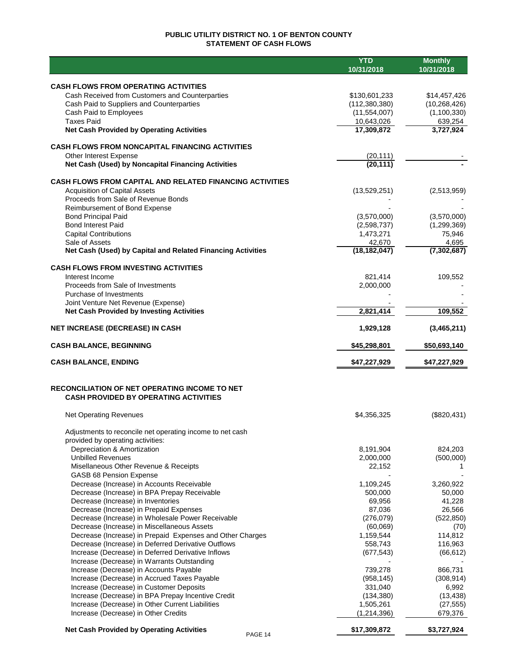# **PUBLIC UTILITY DISTRICT NO. 1 OF BENTON COUNTY STATEMENT OF CASH FLOWS**

|                                                                                                           | <b>YTD</b><br>10/31/2018         | <b>Monthly</b><br>10/31/2018   |
|-----------------------------------------------------------------------------------------------------------|----------------------------------|--------------------------------|
|                                                                                                           |                                  |                                |
| <b>CASH FLOWS FROM OPERATING ACTIVITIES</b>                                                               |                                  |                                |
| Cash Received from Customers and Counterparties<br>Cash Paid to Suppliers and Counterparties              | \$130,601,233<br>(112, 380, 380) | \$14,457,426<br>(10, 268, 426) |
| Cash Paid to Employees                                                                                    | (11,554,007)                     | (1,100,330)                    |
| <b>Taxes Paid</b>                                                                                         | 10,643,026                       | 639,254                        |
| <b>Net Cash Provided by Operating Activities</b>                                                          | 17,309,872                       | 3,727,924                      |
| <b>CASH FLOWS FROM NONCAPITAL FINANCING ACTIVITIES</b>                                                    |                                  |                                |
| Other Interest Expense                                                                                    | (20, 111)                        |                                |
| Net Cash (Used) by Noncapital Financing Activities                                                        | (20, 111)                        |                                |
| <b>CASH FLOWS FROM CAPITAL AND RELATED FINANCING ACTIVITIES</b>                                           |                                  |                                |
| <b>Acquisition of Capital Assets</b>                                                                      | (13,529,251)                     | (2,513,959)                    |
| Proceeds from Sale of Revenue Bonds                                                                       |                                  |                                |
| Reimbursement of Bond Expense                                                                             |                                  |                                |
| <b>Bond Principal Paid</b><br><b>Bond Interest Paid</b>                                                   | (3,570,000)                      | (3,570,000)<br>(1, 299, 369)   |
| <b>Capital Contributions</b>                                                                              | (2,598,737)<br>1,473,271         | 75,946                         |
| Sale of Assets                                                                                            | 42,670                           | 4,695                          |
| Net Cash (Used) by Capital and Related Financing Activities                                               | (18, 182, 047)                   | (7,302,687)                    |
| <b>CASH FLOWS FROM INVESTING ACTIVITIES</b>                                                               |                                  |                                |
| Interest Income                                                                                           | 821,414                          | 109,552                        |
| Proceeds from Sale of Investments                                                                         | 2,000,000                        |                                |
| Purchase of Investments                                                                                   |                                  |                                |
| Joint Venture Net Revenue (Expense)                                                                       |                                  |                                |
| <b>Net Cash Provided by Investing Activities</b>                                                          | 2,821,414                        | 109,552                        |
| <b>NET INCREASE (DECREASE) IN CASH</b>                                                                    | 1,929,128                        | (3,465,211)                    |
| <b>CASH BALANCE, BEGINNING</b>                                                                            | \$45,298,801                     | \$50,693,140                   |
| <b>CASH BALANCE, ENDING</b>                                                                               | \$47,227,929                     | \$47,227,929                   |
| RECONCILIATION OF NET OPERATING INCOME TO NET                                                             |                                  |                                |
| <b>CASH PROVIDED BY OPERATING ACTIVITIES</b>                                                              |                                  |                                |
| <b>Net Operating Revenues</b>                                                                             | \$4,356,325                      | (\$820,431)                    |
| Adjustments to reconcile net operating income to net cash                                                 |                                  |                                |
| provided by operating activities:                                                                         |                                  |                                |
| Depreciation & Amortization                                                                               | 8,191,904                        | 824,203                        |
| <b>Unbilled Revenues</b><br>Misellaneous Other Revenue & Receipts                                         | 2,000,000<br>22,152              | (500,000)<br>1                 |
| GASB 68 Pension Expense                                                                                   |                                  |                                |
| Decrease (Increase) in Accounts Receivable                                                                | 1,109,245                        | 3,260,922                      |
| Decrease (Increase) in BPA Prepay Receivable                                                              | 500,000                          | 50,000                         |
| Decrease (Increase) in Inventories                                                                        | 69,956                           | 41,228                         |
| Decrease (Increase) in Prepaid Expenses                                                                   | 87,036                           | 26,566                         |
| Decrease (Increase) in Wholesale Power Receivable                                                         | (276, 079)                       | (522, 850)                     |
| Decrease (Increase) in Miscellaneous Assets                                                               | (60,069)                         | (70)                           |
| Decrease (Increase) in Prepaid Expenses and Other Charges                                                 | 1,159,544                        | 114,812                        |
| Decrease (Increase) in Deferred Derivative Outflows<br>Increase (Decrease) in Deferred Derivative Inflows | 558,743                          | 116,963                        |
| Increase (Decrease) in Warrants Outstanding                                                               | (677, 543)                       | (66, 612)                      |
| Increase (Decrease) in Accounts Payable                                                                   | 739,278                          | 866,731                        |
| Increase (Decrease) in Accrued Taxes Payable                                                              | (958, 145)                       | (308, 914)                     |
| Increase (Decrease) in Customer Deposits                                                                  | 331,040                          | 6,992                          |
| Increase (Decrease) in BPA Prepay Incentive Credit                                                        | (134, 380)                       | (13, 438)                      |
| Increase (Decrease) in Other Current Liabilities                                                          | 1,505,261                        | (27, 555)                      |
| Increase (Decrease) in Other Credits                                                                      | (1, 214, 396)                    | 679,376                        |
| <b>Net Cash Provided by Operating Activities</b><br>PAGE 14                                               | \$17,309,872                     | \$3,727,924                    |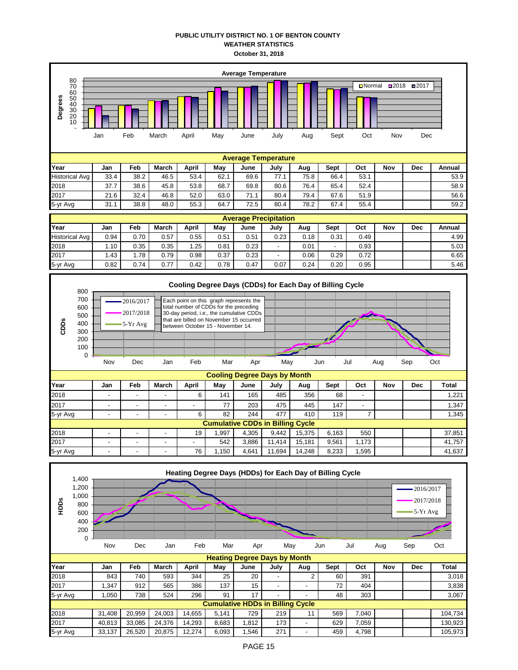## **PUBLIC UTILITY DISTRICT NO. 1 OF BENTON COUNTY WEATHER STATISTICS October 31, 2018**

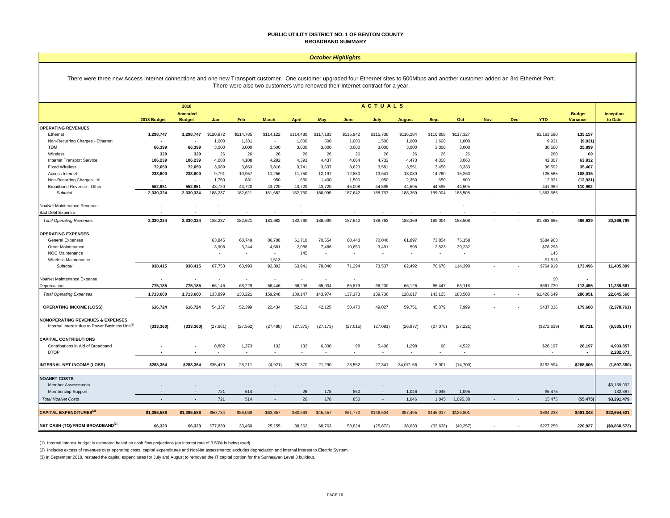#### **PUBLIC UTILITY DISTRICT NO. 1 OF BENTON COUNTY BROADBAND SUMMARY**

#### *October Highlights*

There were three new Access Internet connections and one new Transport customer. One customer upgraded four Ethernet sites to 500Mbps and another customer added an 3rd Ethernet Port. There were also two customers who renewed their Internet contract for a year.

|                                                             | <b>ACTUALS</b><br>2018 |                                 |                |                          |                          |                          |                          |           |                          |               |                          |           |     |     |             |                           |                      |
|-------------------------------------------------------------|------------------------|---------------------------------|----------------|--------------------------|--------------------------|--------------------------|--------------------------|-----------|--------------------------|---------------|--------------------------|-----------|-----|-----|-------------|---------------------------|----------------------|
|                                                             | 2018 Budget            | <b>Amended</b><br><b>Budget</b> | Jan            | Feb                      | <b>March</b>             | <b>April</b>             | May                      | June      | July                     | <b>August</b> | <b>Sept</b>              | Oct       | Nov | Dec | <b>YTD</b>  | <b>Budget</b><br>Variance | Inception<br>to Date |
| <b>OPERATING REVENUES</b>                                   |                        |                                 |                |                          |                          |                          |                          |           |                          |               |                          |           |     |     |             |                           |                      |
| Ethernet                                                    | 1,298,747              | 1,298,747                       | \$120,872      | \$114,785                | \$114,122                | \$114,480                | \$117,183                | \$115,942 | \$115,738                | \$116,284     | \$116,858                | \$117,327 |     |     | \$1,163,590 | 135,157                   |                      |
| Non-Recurring Charges - Ethernet                            | $\blacksquare$         |                                 | 1,000          | 1,331                    | $\overline{\phantom{a}}$ | 1,000                    | 500                      | 1,000     | 1,500                    | 1,000         | 1,600                    | 1,000     |     |     | 9,931       | (9,931)                   |                      |
| <b>TDM</b>                                                  | 66,399                 | 66,399                          | 3,000          | 3,000                    | 3,500                    | 3,000                    | 3,000                    | 3,000     | 3,000                    | 3,000         | 3,000                    | 3,000     |     |     | 30,500      | 35,899                    |                      |
| Wireless                                                    | 329                    | 329                             | 26             | 26                       | 26                       | 26                       | 26                       | 26        | 26                       | 26            | 26                       | 26        |     |     | 260         | 69                        |                      |
| <b>Internet Transport Service</b>                           | 106,239                | 106,239                         | 4.088          | 4,108                    | 4.292                    | 4,393                    | 4,437                    | 4,664     | 4,732                    | 4,473         | 4,058                    | 3,063     |     |     | 42,307      | 63,932                    |                      |
| <b>Fixed Wireless</b>                                       | 72,059                 | 72,059                          | 3,989          | 3,863                    | 3,816                    | 3,741                    | 3,637                    | 3,623     | 3,581                    | 3,551         | 3,458                    | 3,333     |     |     | 36,592      | 35,467                    |                      |
| Access Internet                                             | 233,600                | 233,600                         | 9,791          | 10,957                   | 11,256                   | 11,750                   | 12,197                   | 12,880    | 13,641                   | 13,089        | 14,760                   | 15,263    |     |     | 125,585     | 108,015                   |                      |
| Non-Recurring Charges - Al                                  | $\blacksquare$         | $\sim$                          | 1,750          | 831                      | 950                      | 650                      | 1,400                    | 1,500     | 1,950                    | 2,350         | 650                      | 900       |     |     | 12,931      | (12, 931)                 |                      |
| Broadband Revenue - Other                                   | 552,951                | 552,951                         | 43,720         | 43,720                   | 43,720                   | 43,720                   | 43,720                   | 45,008    | 44.595                   | 44,595        | 44,595                   | 44,595    |     |     | 441,989     | 110,962                   |                      |
| Subtotal                                                    | 2,330,324              | 2,330,324                       | 188,237        | 182,621                  | 181,682                  | 182,760                  | 186,099                  | 187,642   | 188,763                  | 188,369       | 189,004                  | 188,508   |     |     | 1,863,685   |                           |                      |
| NoaNet Maintenance Revenue                                  |                        |                                 |                |                          |                          |                          |                          |           |                          |               |                          |           |     |     |             |                           |                      |
| <b>Bad Debt Expense</b>                                     |                        |                                 |                |                          |                          |                          |                          |           |                          |               |                          |           |     |     |             |                           |                      |
| <b>Total Operating Revenues</b>                             | 2,330,324              | 2,330,324                       | 188,237        | 182,621                  | 181,682                  | 182,760                  | 186,099                  | 187,642   | 188,763                  | 188,369       | 189,004                  | 188.508   |     |     | \$1,863,685 | 466,639                   | 20,266,799           |
| <b>OPERATING EXPENSES</b>                                   |                        |                                 |                |                          |                          |                          |                          |           |                          |               |                          |           |     |     |             |                           |                      |
| General Expenses                                            |                        |                                 | 63.845         | 60,749                   | 86,708                   | 61.710                   | 70,554                   | 60,443    | 70,046                   | 61,897        | 73,854                   | 75,158    |     |     | \$684,963   |                           |                      |
| Other Maintenance                                           |                        |                                 | 3,908          | 3,244                    | 4,581                    | 2,086                    | 7,486                    | 10,850    | 3,491                    | 595           | 2,823                    | 39,232    |     |     | \$78,298    |                           |                      |
| <b>NOC Maintenance</b>                                      |                        |                                 |                | $\overline{\phantom{a}}$ | $\sim$                   | 145                      | $\overline{\phantom{a}}$ |           | $\overline{\phantom{a}}$ |               | $\overline{\phantom{a}}$ |           |     |     | 145         |                           |                      |
| Wireless Maintenance                                        |                        |                                 |                |                          | 1,513                    |                          |                          |           |                          |               |                          |           |     |     | \$1,513     |                           |                      |
| Subtotal                                                    | 938,415                | 938,415                         | 67,753         | 63,993                   | 92,802                   | 63,941                   | 78,040                   | 71,294    | 73,537                   | 62,492        | 76,678                   | 114,390   |     |     | \$764,919   | 173,496                   | 11,405,899           |
| NoaNet Maintenance Expense                                  | ٠                      |                                 | $\overline{a}$ | $\overline{\phantom{a}}$ | $\sim$                   | $\overline{\phantom{a}}$ | $\overline{\phantom{a}}$ | $\sim$    |                          |               |                          |           |     |     | \$0         | $\overline{\phantom{a}}$  |                      |
| Depreciation                                                | 775,185                | 775,185                         | 66,146         | 66,229                   | 66,446                   | 66,206                   | 65,934                   | 65,879    | 66,200                   | 66,126        | 66,447                   | 66,118    |     |     | \$661,730   | 113,455                   | 11,239,661           |
| <b>Total Operating Expenses</b>                             | 1,713,600              | 1,713,600                       | 133.899        | 130.221                  | 159.248                  | 130,147                  | 143,974                  | 137.173   | 139,736                  | 128,617       | 143,125                  | 180.508   |     |     | \$1,426,649 | 286.951                   | 22,645,560           |
| <b>OPERATING INCOME (LOSS)</b>                              | 616,724                | 616,724                         | 54,337         | 52,399                   | 22,434                   | 52,613                   | 42,125                   | 50,470    | 49,027                   | 59,751        | 45,879                   | 7,999     |     |     | \$437,036   | 179,688                   | (2,378,761)          |
| <b>NONOPERATING REVENUES &amp; EXPENSES</b>                 |                        |                                 |                |                          |                          |                          |                          |           |                          |               |                          |           |     |     |             |                           |                      |
| Internal Interest due to Power Business Unit <sup>(1)</sup> | (333, 360)             | (333, 360)                      | (27,661)       | (27, 562)                | (27, 488)                | (27, 375)                | (27, 173)                | (27, 015) | (27,091)                 | (26, 977)     | (27,076)                 | (27, 221) |     |     | (\$272,639) | 60,721                    | (6, 535, 147)        |
| <b>CAPITAL CONTRIBUTIONS</b>                                |                        |                                 |                |                          |                          |                          |                          |           |                          |               |                          |           |     |     |             |                           |                      |
| Contributions in Aid of Broadband                           |                        |                                 | 8,802          | 1,373                    | 132                      | 132                      | 6,338                    | 98        | 5,406                    | 1,298         | 98                       | 4,522     |     |     | \$28,197    | 28,197                    | 4,933,857            |
| <b>BTOP</b>                                                 |                        |                                 |                |                          |                          |                          |                          |           |                          |               |                          |           |     |     |             |                           | 2,282,671            |
| <b>INTERNAL NET INCOME (LOSS)</b>                           | \$283.364              | \$283.364                       | \$35,479       | 26,211                   | (4.921)                  | 25.370                   | 21,290                   | 23.552    | 27.341                   | 34,071.56     | 18.901                   | (14.700)  |     |     | \$192,594   | \$268,606                 | (1,697,380)          |
| <b>NOANET COSTS</b>                                         |                        |                                 |                |                          |                          |                          |                          |           |                          |               |                          |           |     |     |             |                           |                      |
| <b>Member Assessments</b>                                   |                        |                                 |                |                          |                          |                          |                          |           |                          |               |                          |           |     |     |             |                           | \$3,159,092          |
| Membership Support                                          |                        |                                 | 721            | 514                      |                          | 26                       | 178                      | 850       | $\overline{\phantom{a}}$ | 1,046         | 1,045                    | 1,095     |     |     | \$5,475     |                           | 132,387              |
| <b>Total NoaNet Costs</b>                                   |                        |                                 | 721            | 514                      | $\overline{\phantom{a}}$ | 26                       | 178                      | 850       | $\overline{\phantom{a}}$ | 1,046         | 1,045                    | 1,095.38  |     |     | \$5,475     | (\$5,475)                 | \$3,291,479          |
|                                                             |                        |                                 |                |                          |                          |                          |                          |           |                          |               |                          |           |     |     |             |                           |                      |
| <b>CAPITAL EXPENDITURES</b> <sup>(3)</sup>                  | \$1,385,586            | \$1.385.586                     | \$50,734       | \$86,038                 | \$63,857                 | \$80,563                 | \$45,457                 | \$61,772  | \$146,504                | \$87,495      | \$145,017                | \$126,801 |     |     | \$894,238   | \$491,348                 | \$22,654,521         |
| NET CASH (TO)/FROM BROADBAND <sup>(2)</sup>                 | \$6,323                | \$6,323                         | \$77,830       | 33,450                   | 25,155                   | 38,362                   | 68,763                   | 53,824    | (25, 872)                | 38,633        | (33, 638)                | (49, 257) |     |     | \$227,250   | 220,927                   | (\$9,868,572)        |

(1) Internal interest budget is estimated based on cash flow projections (an interest rate of 3.53% is being used).

(2) Includes excess of revenues over operating costs, capital expenditures and NoaNet assessments; excludes depreciation and internal interest to Electric System

(3) In September 2018, restated the capital expenditures for July and August to removed the IT capital portion for the Sunheaven Level 3 buildout.